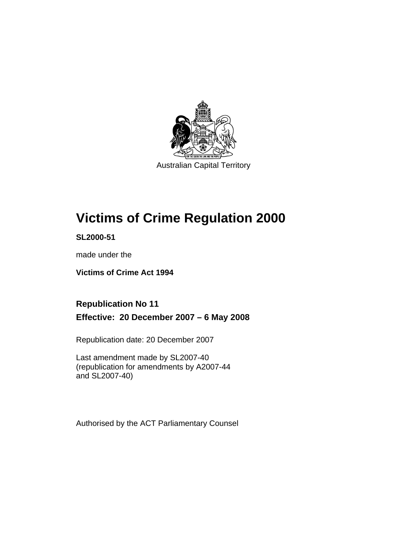

Australian Capital Territory

# **[Victims of Crime Regulation 2000](#page-6-0)**

**SL2000-51** 

made under the

**[Victims of Crime Act 1994](#page-6-0)** 

# **Republication No 11 Effective: 20 December 2007 – 6 May 2008**

Republication date: 20 December 2007

Last amendment made by SL2007-40 (republication for amendments by A2007-44 and SL2007-40)

Authorised by the ACT Parliamentary Counsel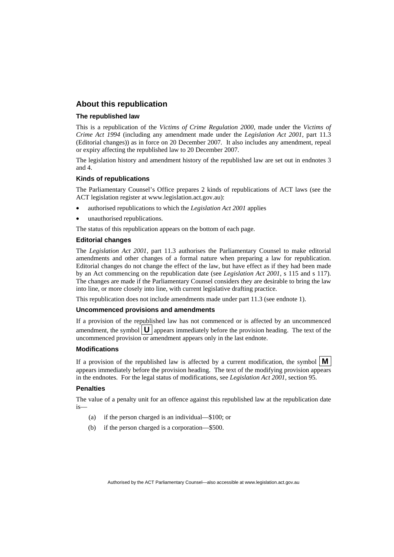#### **About this republication**

#### **The republished law**

This is a republication of the *Victims of Crime Regulation 2000*, made under the *[Victims of](#page-6-0)  [Crime Act 1994](#page-6-0)* (including any amendment made under the *Legislation Act 2001*, part 11.3 (Editorial changes)) as in force on 20 December 2007*.* It also includes any amendment, repeal or expiry affecting the republished law to 20 December 2007.

The legislation history and amendment history of the republished law are set out in endnotes 3 and 4.

#### **Kinds of republications**

The Parliamentary Counsel's Office prepares 2 kinds of republications of ACT laws (see the ACT legislation register at www.legislation.act.gov.au):

- authorised republications to which the *Legislation Act 2001* applies
- unauthorised republications.

The status of this republication appears on the bottom of each page.

#### **Editorial changes**

The *Legislation Act 2001*, part 11.3 authorises the Parliamentary Counsel to make editorial amendments and other changes of a formal nature when preparing a law for republication. Editorial changes do not change the effect of the law, but have effect as if they had been made by an Act commencing on the republication date (see *Legislation Act 2001*, s 115 and s 117). The changes are made if the Parliamentary Counsel considers they are desirable to bring the law into line, or more closely into line, with current legislative drafting practice.

This republication does not include amendments made under part 11.3 (see endnote 1).

#### **Uncommenced provisions and amendments**

If a provision of the republished law has not commenced or is affected by an uncommenced amendment, the symbol  $\mathbf{U}$  appears immediately before the provision heading. The text of the uncommenced provision  $\overline{or}$  amendment appears only in the last endnote.

#### **Modifications**

If a provision of the republished law is affected by a current modification, the symbol  $\mathbf{M}$ appears immediately before the provision heading. The text of the modifying provision appears in the endnotes. For the legal status of modifications, see *Legislation Act 2001*, section 95.

#### **Penalties**

The value of a penalty unit for an offence against this republished law at the republication date is—

- (a) if the person charged is an individual—\$100; or
- (b) if the person charged is a corporation—\$500.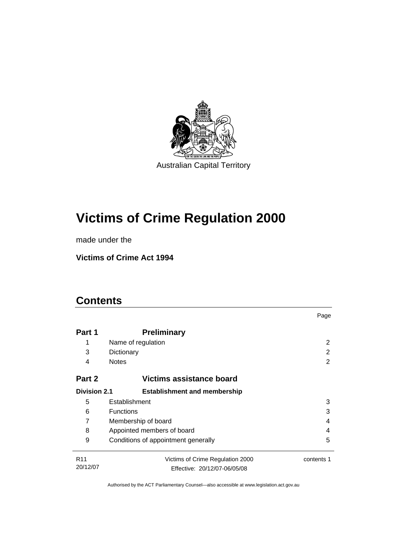

# **[Victims of Crime Regulation 2000](#page-6-0)**

made under the

**[Victims of Crime Act 1994](#page-6-0)** 

# **Contents**

|                     |                                     | Page       |
|---------------------|-------------------------------------|------------|
| Part 1              | <b>Preliminary</b>                  |            |
| 1                   | Name of regulation                  | 2          |
| 3                   | Dictionary                          | 2          |
| 4                   | <b>Notes</b>                        | 2          |
| Part 2              | Victims assistance board            |            |
| <b>Division 2.1</b> | <b>Establishment and membership</b> |            |
| 5                   | Establishment                       | 3          |
| 6                   | <b>Functions</b>                    | 3          |
| 7                   | Membership of board                 |            |
| 8                   | Appointed members of board          |            |
| 9                   | Conditions of appointment generally | 5          |
| R <sub>11</sub>     | Victims of Crime Regulation 2000    | contents 1 |
| 20/12/07            | Effective: 20/12/07-06/05/08        |            |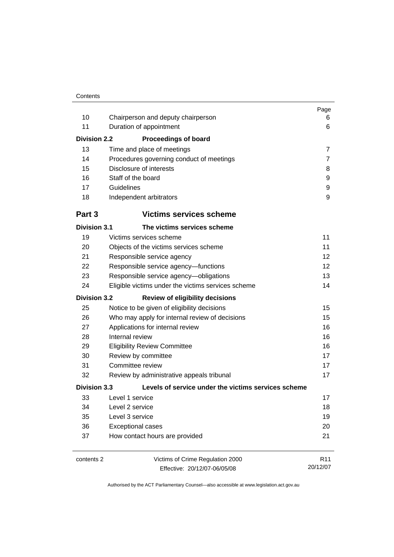| 10<br>11<br><b>Division 2.2</b><br>13<br>14 | Chairperson and deputy chairperson<br>Duration of appointment<br><b>Proceedings of board</b><br>Time and place of meetings<br>Procedures governing conduct of meetings | Page<br>6<br>6<br>$\overline{7}$<br>7 |
|---------------------------------------------|------------------------------------------------------------------------------------------------------------------------------------------------------------------------|---------------------------------------|
| 15                                          | Disclosure of interests                                                                                                                                                | 8                                     |
| 16                                          | Staff of the board                                                                                                                                                     | 9                                     |
| 17                                          | Guidelines                                                                                                                                                             | 9                                     |
| 18                                          | Independent arbitrators                                                                                                                                                | 9                                     |
| Part <sub>3</sub>                           | <b>Victims services scheme</b>                                                                                                                                         |                                       |
| <b>Division 3.1</b>                         | The victims services scheme                                                                                                                                            |                                       |
| 19                                          | Victims services scheme                                                                                                                                                | 11                                    |
| 20                                          | Objects of the victims services scheme                                                                                                                                 | 11                                    |
| 21                                          | Responsible service agency                                                                                                                                             | 12                                    |
| 22                                          | Responsible service agency-functions                                                                                                                                   | 12                                    |
| 23                                          | Responsible service agency-obligations                                                                                                                                 | 13                                    |
| 24                                          | Eligible victims under the victims services scheme                                                                                                                     | 14                                    |
| <b>Division 3.2</b>                         | <b>Review of eligibility decisions</b>                                                                                                                                 |                                       |
| 25                                          | Notice to be given of eligibility decisions                                                                                                                            | 15                                    |
| 26                                          | Who may apply for internal review of decisions                                                                                                                         | 15                                    |
| 27                                          | Applications for internal review                                                                                                                                       | 16                                    |
| 28                                          | Internal review                                                                                                                                                        | 16                                    |
| 29                                          | <b>Eligibility Review Committee</b>                                                                                                                                    | 16                                    |
| 30                                          | Review by committee                                                                                                                                                    | 17                                    |
| 31                                          | Committee review                                                                                                                                                       | 17                                    |
| 32                                          | Review by administrative appeals tribunal                                                                                                                              | 17                                    |
| <b>Division 3.3</b>                         | Levels of service under the victims services scheme                                                                                                                    |                                       |
| 33                                          | Level 1 service                                                                                                                                                        | 17                                    |
| 34                                          | Level 2 service                                                                                                                                                        | 18                                    |
| 35                                          | Level 3 service                                                                                                                                                        | 19                                    |
| 36                                          | <b>Exceptional cases</b>                                                                                                                                               | 20                                    |
| 37                                          | How contact hours are provided                                                                                                                                         | 21                                    |
| contents 2                                  | Victims of Crime Regulation 2000<br>Effective: 20/12/07-06/05/08                                                                                                       | R <sub>11</sub><br>20/12/07           |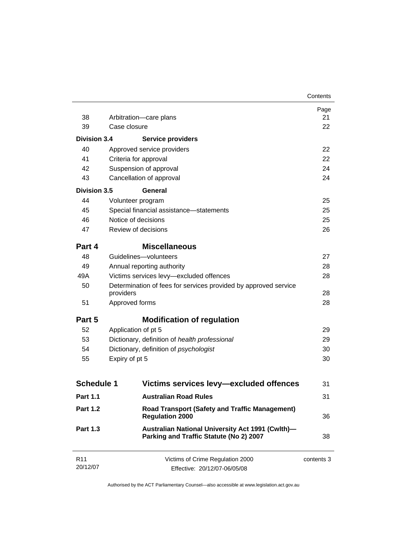|                             |                                                                                             | Contents   |
|-----------------------------|---------------------------------------------------------------------------------------------|------------|
|                             |                                                                                             | Page       |
| 38                          | Arbitration-care plans                                                                      | 21         |
| 39                          | Case closure                                                                                | 22         |
| <b>Division 3.4</b>         | <b>Service providers</b>                                                                    |            |
| 40                          | Approved service providers                                                                  | 22         |
| 41                          | Criteria for approval                                                                       | 22         |
| 42                          | Suspension of approval                                                                      | 24         |
| 43                          | Cancellation of approval                                                                    | 24         |
| <b>Division 3.5</b>         | General                                                                                     |            |
| 44                          | Volunteer program                                                                           | 25         |
| 45                          | Special financial assistance-statements                                                     | 25         |
| 46                          | Notice of decisions                                                                         | 25         |
| 47                          | Review of decisions                                                                         | 26         |
| Part 4                      | <b>Miscellaneous</b>                                                                        |            |
| 48                          | Guidelines-volunteers                                                                       | 27         |
| 49                          | Annual reporting authority                                                                  | 28         |
| 49A                         | Victims services levy-excluded offences                                                     | 28         |
| 50                          | Determination of fees for services provided by approved service<br>providers                | 28         |
| 51                          | Approved forms                                                                              | 28         |
|                             |                                                                                             |            |
| Part 5                      | <b>Modification of regulation</b>                                                           |            |
| 52                          | Application of pt 5                                                                         | 29         |
| 53                          | Dictionary, definition of health professional                                               | 29         |
| 54                          | Dictionary, definition of psychologist                                                      | 30         |
| 55                          | Expiry of pt 5                                                                              | 30         |
|                             |                                                                                             |            |
| <b>Schedule 1</b>           | Victims services levy-excluded offences                                                     | 31         |
| <b>Part 1.1</b>             | <b>Australian Road Rules</b>                                                                | 31         |
| <b>Part 1.2</b>             | <b>Road Transport (Safety and Traffic Management)</b><br><b>Regulation 2000</b>             | 36         |
| <b>Part 1.3</b>             | Australian National University Act 1991 (Cwlth)-<br>Parking and Traffic Statute (No 2) 2007 | 38         |
| R <sub>11</sub><br>20/12/07 | Victims of Crime Regulation 2000<br>Effective: 20/12/07-06/05/08                            | contents 3 |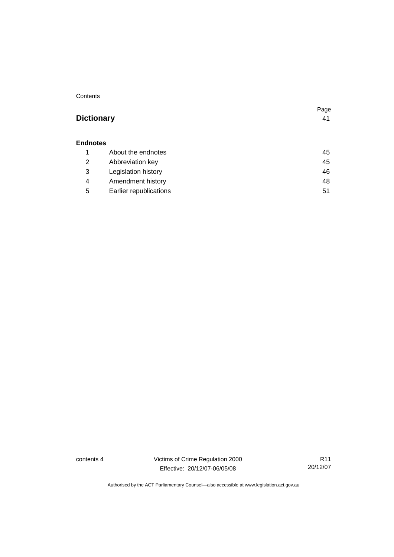**Contents** 

### **Dictionary** [41](#page-46-0)

#### **Endnotes**

|   | About the endnotes     | 45 |
|---|------------------------|----|
| 2 | Abbreviation key       | 45 |
| 3 | Legislation history    | 46 |
| 4 | Amendment history      | 48 |
| 5 | Earlier republications | 51 |

contents 4 Victims of Crime Regulation 2000 Effective: 20/12/07-06/05/08

R11 20/12/07

Page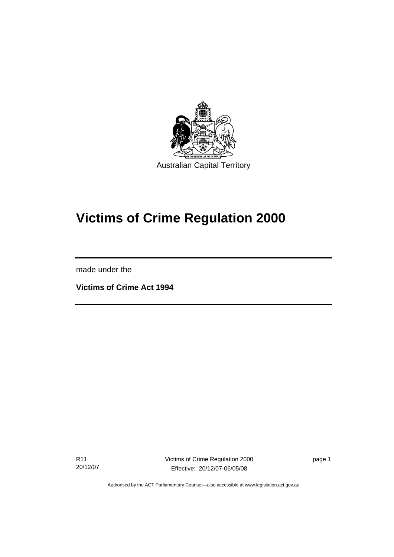<span id="page-6-0"></span>

# **Victims of Crime Regulation 2000**

made under the

Ī

**Victims of Crime Act 1994** 

R11 20/12/07 Victims of Crime Regulation 2000 Effective: 20/12/07-06/05/08

page 1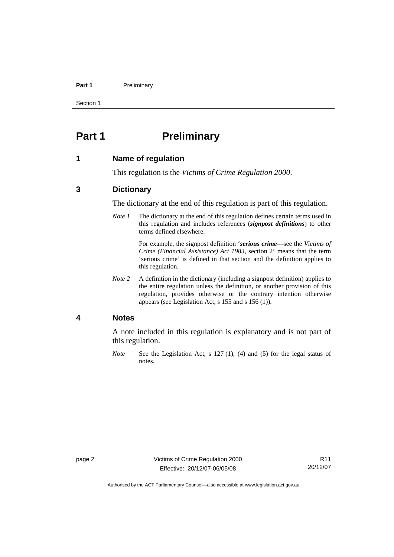#### <span id="page-7-0"></span>Part 1 **Preliminary**

Section 1

# **Part 1** Preliminary

#### **1 Name of regulation**

This regulation is the *Victims of Crime Regulation 2000*.

#### **3 Dictionary**

The dictionary at the end of this regulation is part of this regulation.

*Note 1* The dictionary at the end of this regulation defines certain terms used in this regulation and includes references (*signpost definitions*) to other terms defined elsewhere.

> For example, the signpost definition '*serious crime*—see the *Victims of Crime (Financial Assistance) Act 1983*, section 2' means that the term 'serious crime' is defined in that section and the definition applies to this regulation.

*Note 2* A definition in the dictionary (including a signpost definition) applies to the entire regulation unless the definition, or another provision of this regulation, provides otherwise or the contrary intention otherwise appears (see Legislation Act, s 155 and s 156 (1)).

#### **4 Notes**

A note included in this regulation is explanatory and is not part of this regulation.

*Note* See the Legislation Act, s 127 (1), (4) and (5) for the legal status of notes.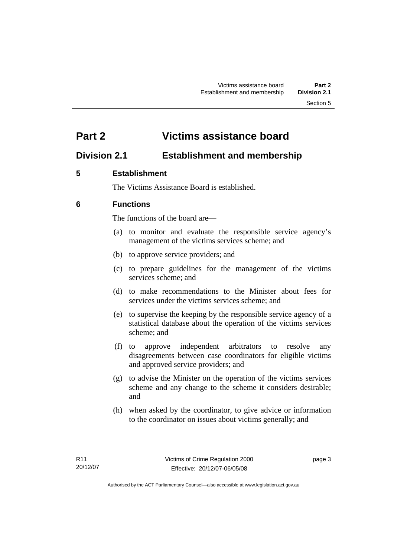# <span id="page-8-0"></span>**Part 2 Victims assistance board**

## **Division 2.1 Establishment and membership**

### **5 Establishment**

The Victims Assistance Board is established.

### **6 Functions**

The functions of the board are—

- (a) to monitor and evaluate the responsible service agency's management of the victims services scheme; and
- (b) to approve service providers; and
- (c) to prepare guidelines for the management of the victims services scheme; and
- (d) to make recommendations to the Minister about fees for services under the victims services scheme; and
- (e) to supervise the keeping by the responsible service agency of a statistical database about the operation of the victims services scheme; and
- (f) to approve independent arbitrators to resolve any disagreements between case coordinators for eligible victims and approved service providers; and
- (g) to advise the Minister on the operation of the victims services scheme and any change to the scheme it considers desirable; and
- (h) when asked by the coordinator, to give advice or information to the coordinator on issues about victims generally; and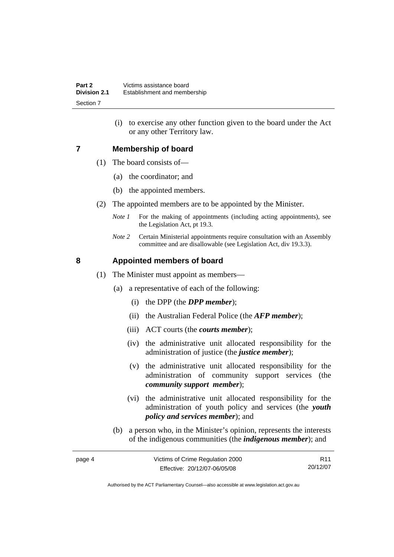(i) to exercise any other function given to the board under the Act or any other Territory law.

#### <span id="page-9-0"></span>**7 Membership of board**

- (1) The board consists of—
	- (a) the coordinator; and
	- (b) the appointed members.
- (2) The appointed members are to be appointed by the Minister.
	- *Note 1* For the making of appointments (including acting appointments), see the Legislation Act, pt 19.3.
	- *Note 2* Certain Ministerial appointments require consultation with an Assembly committee and are disallowable (see Legislation Act, div 19.3.3).

#### **8 Appointed members of board**

- (1) The Minister must appoint as members—
	- (a) a representative of each of the following:
		- (i) the DPP (the *DPP member*);
		- (ii) the Australian Federal Police (the *AFP member*);
		- (iii) ACT courts (the *courts member*);
		- (iv) the administrative unit allocated responsibility for the administration of justice (the *justice member*);
		- (v) the administrative unit allocated responsibility for the administration of community support services (the *community support member*);
		- (vi) the administrative unit allocated responsibility for the administration of youth policy and services (the *youth policy and services member*); and
	- (b) a person who, in the Minister's opinion, represents the interests of the indigenous communities (the *indigenous member*); and

| page 4 | Victims of Crime Regulation 2000 | R <sub>11</sub> |
|--------|----------------------------------|-----------------|
|        | Effective: 20/12/07-06/05/08     | 20/12/07        |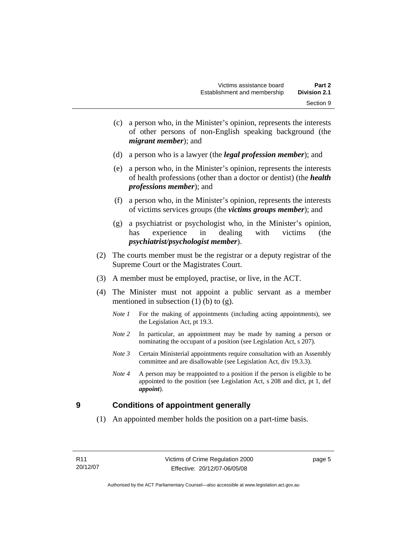- <span id="page-10-0"></span> (c) a person who, in the Minister's opinion, represents the interests of other persons of non-English speaking background (the *migrant member*); and
- (d) a person who is a lawyer (the *legal profession member*); and
- (e) a person who, in the Minister's opinion, represents the interests of health professions (other than a doctor or dentist) (the *health professions member*); and
- (f) a person who, in the Minister's opinion, represents the interests of victims services groups (the *victims groups member*); and
- (g) a psychiatrist or psychologist who, in the Minister's opinion, has experience in dealing with victims (the *psychiatrist/psychologist member*).
- (2) The courts member must be the registrar or a deputy registrar of the Supreme Court or the Magistrates Court.
- (3) A member must be employed, practise, or live, in the ACT.
- (4) The Minister must not appoint a public servant as a member mentioned in subsection  $(1)$  (b) to  $(g)$ .
	- *Note 1* For the making of appointments (including acting appointments), see the Legislation Act, pt 19.3.
	- *Note* 2 In particular, an appointment may be made by naming a person or nominating the occupant of a position (see Legislation Act, s 207).
	- *Note 3* Certain Ministerial appointments require consultation with an Assembly committee and are disallowable (see Legislation Act, div 19.3.3).
	- *Note 4* A person may be reappointed to a position if the person is eligible to be appointed to the position (see Legislation Act, s 208 and dict, pt 1, def *appoint*).

#### **9 Conditions of appointment generally**

(1) An appointed member holds the position on a part-time basis.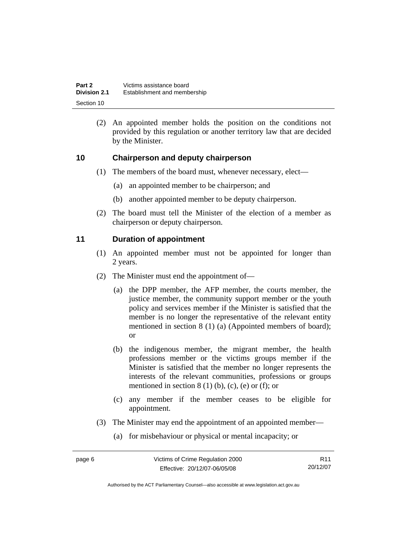<span id="page-11-0"></span>

| Part 2              | Victims assistance board     |
|---------------------|------------------------------|
| <b>Division 2.1</b> | Establishment and membership |
| Section 10          |                              |

 (2) An appointed member holds the position on the conditions not provided by this regulation or another territory law that are decided by the Minister.

#### **10 Chairperson and deputy chairperson**

- (1) The members of the board must, whenever necessary, elect—
	- (a) an appointed member to be chairperson; and
	- (b) another appointed member to be deputy chairperson.
- (2) The board must tell the Minister of the election of a member as chairperson or deputy chairperson.

#### **11 Duration of appointment**

- (1) An appointed member must not be appointed for longer than 2 years.
- (2) The Minister must end the appointment of—
	- (a) the DPP member, the AFP member, the courts member, the justice member, the community support member or the youth policy and services member if the Minister is satisfied that the member is no longer the representative of the relevant entity mentioned in section 8 (1) (a) (Appointed members of board); or
	- (b) the indigenous member, the migrant member, the health professions member or the victims groups member if the Minister is satisfied that the member no longer represents the interests of the relevant communities, professions or groups mentioned in section  $8(1)$  (b), (c), (e) or (f); or
	- (c) any member if the member ceases to be eligible for appointment.
- (3) The Minister may end the appointment of an appointed member—
	- (a) for misbehaviour or physical or mental incapacity; or

R11 20/12/07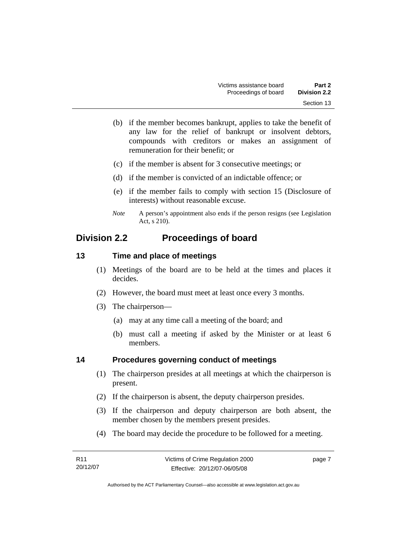- <span id="page-12-0"></span> (b) if the member becomes bankrupt, applies to take the benefit of any law for the relief of bankrupt or insolvent debtors, compounds with creditors or makes an assignment of remuneration for their benefit; or
- (c) if the member is absent for 3 consecutive meetings; or
- (d) if the member is convicted of an indictable offence; or
- (e) if the member fails to comply with section 15 (Disclosure of interests) without reasonable excuse.
- *Note* A person's appointment also ends if the person resigns (see Legislation Act, s 210).

### **Division 2.2 Proceedings of board**

#### **13 Time and place of meetings**

- (1) Meetings of the board are to be held at the times and places it decides.
- (2) However, the board must meet at least once every 3 months.
- (3) The chairperson—
	- (a) may at any time call a meeting of the board; and
	- (b) must call a meeting if asked by the Minister or at least 6 members.

### **14 Procedures governing conduct of meetings**

- (1) The chairperson presides at all meetings at which the chairperson is present.
- (2) If the chairperson is absent, the deputy chairperson presides.
- (3) If the chairperson and deputy chairperson are both absent, the member chosen by the members present presides.
- (4) The board may decide the procedure to be followed for a meeting.

| R11      | Victims of Crime Regulation 2000 | page 7 |
|----------|----------------------------------|--------|
| 20/12/07 | Effective: 20/12/07-06/05/08     |        |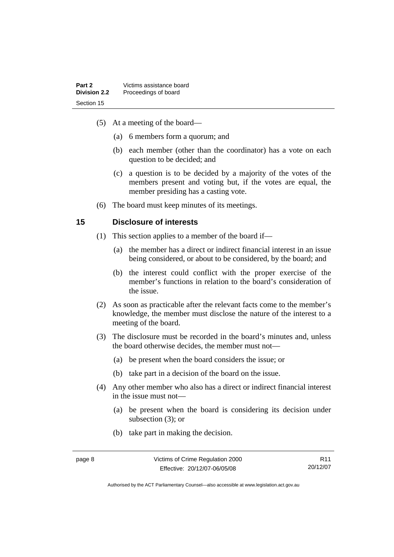- <span id="page-13-0"></span> (5) At a meeting of the board—
	- (a) 6 members form a quorum; and
	- (b) each member (other than the coordinator) has a vote on each question to be decided; and
	- (c) a question is to be decided by a majority of the votes of the members present and voting but, if the votes are equal, the member presiding has a casting vote.
- (6) The board must keep minutes of its meetings.

### **15 Disclosure of interests**

- (1) This section applies to a member of the board if—
	- (a) the member has a direct or indirect financial interest in an issue being considered, or about to be considered, by the board; and
	- (b) the interest could conflict with the proper exercise of the member's functions in relation to the board's consideration of the issue.
- (2) As soon as practicable after the relevant facts come to the member's knowledge, the member must disclose the nature of the interest to a meeting of the board.
- (3) The disclosure must be recorded in the board's minutes and, unless the board otherwise decides, the member must not—
	- (a) be present when the board considers the issue; or
	- (b) take part in a decision of the board on the issue.
- (4) Any other member who also has a direct or indirect financial interest in the issue must not—
	- (a) be present when the board is considering its decision under subsection (3); or
	- (b) take part in making the decision.

R11 20/12/07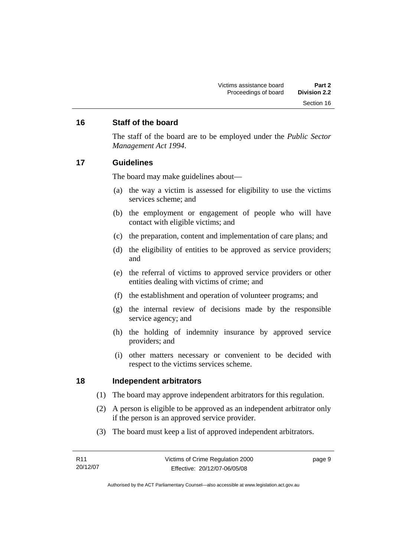#### <span id="page-14-0"></span>**16 Staff of the board**

The staff of the board are to be employed under the *Public Sector Management Act 1994*.

#### **17 Guidelines**

The board may make guidelines about—

- (a) the way a victim is assessed for eligibility to use the victims services scheme; and
- (b) the employment or engagement of people who will have contact with eligible victims; and
- (c) the preparation, content and implementation of care plans; and
- (d) the eligibility of entities to be approved as service providers; and
- (e) the referral of victims to approved service providers or other entities dealing with victims of crime; and
- (f) the establishment and operation of volunteer programs; and
- (g) the internal review of decisions made by the responsible service agency; and
- (h) the holding of indemnity insurance by approved service providers; and
- (i) other matters necessary or convenient to be decided with respect to the victims services scheme.

#### **18 Independent arbitrators**

- (1) The board may approve independent arbitrators for this regulation.
- (2) A person is eligible to be approved as an independent arbitrator only if the person is an approved service provider.
- (3) The board must keep a list of approved independent arbitrators.

| R11      | Victims of Crime Regulation 2000 | page 9 |
|----------|----------------------------------|--------|
| 20/12/07 | Effective: 20/12/07-06/05/08     |        |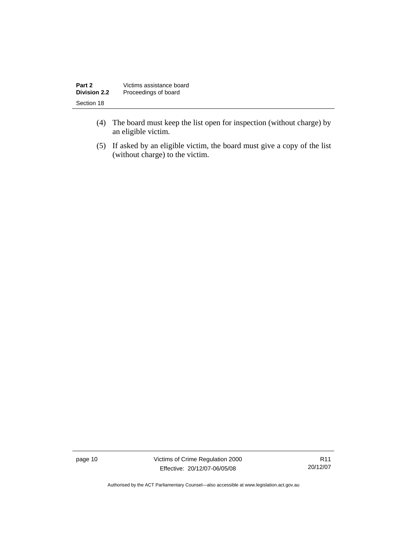| Part 2              | Victims assistance board |
|---------------------|--------------------------|
| <b>Division 2.2</b> | Proceedings of board     |
| Section 18          |                          |

- (4) The board must keep the list open for inspection (without charge) by an eligible victim.
- (5) If asked by an eligible victim, the board must give a copy of the list (without charge) to the victim.

page 10 Victims of Crime Regulation 2000 Effective: 20/12/07-06/05/08

R11 20/12/07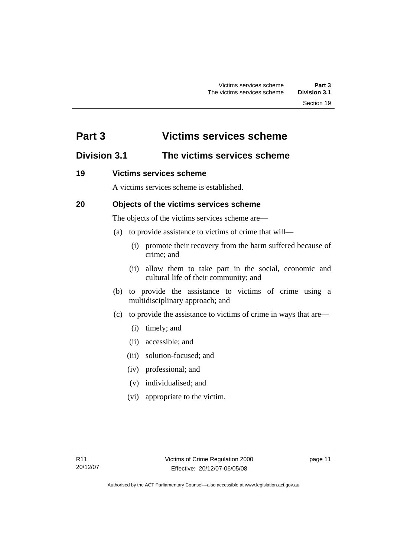# <span id="page-16-0"></span>**Part 3 Victims services scheme**

# **Division 3.1 The victims services scheme**

### **19 Victims services scheme**

A victims services scheme is established.

### **20 Objects of the victims services scheme**

The objects of the victims services scheme are—

- (a) to provide assistance to victims of crime that will—
	- (i) promote their recovery from the harm suffered because of crime; and
	- (ii) allow them to take part in the social, economic and cultural life of their community; and
- (b) to provide the assistance to victims of crime using a multidisciplinary approach; and
- (c) to provide the assistance to victims of crime in ways that are—
	- (i) timely; and
	- (ii) accessible; and
	- (iii) solution-focused; and
	- (iv) professional; and
	- (v) individualised; and
	- (vi) appropriate to the victim.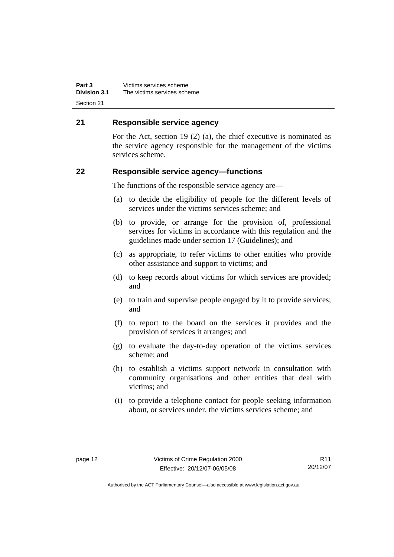<span id="page-17-0"></span>**Part 3** Victims services scheme<br>**Division 3.1** The victims services sche **Division 3.1** The victims services scheme Section 21

#### **21 Responsible service agency**

For the Act, section 19 (2) (a), the chief executive is nominated as the service agency responsible for the management of the victims services scheme.

#### **22 Responsible service agency—functions**

The functions of the responsible service agency are—

- (a) to decide the eligibility of people for the different levels of services under the victims services scheme; and
- (b) to provide, or arrange for the provision of, professional services for victims in accordance with this regulation and the guidelines made under section 17 (Guidelines); and
- (c) as appropriate, to refer victims to other entities who provide other assistance and support to victims; and
- (d) to keep records about victims for which services are provided; and
- (e) to train and supervise people engaged by it to provide services; and
- (f) to report to the board on the services it provides and the provision of services it arranges; and
- (g) to evaluate the day-to-day operation of the victims services scheme; and
- (h) to establish a victims support network in consultation with community organisations and other entities that deal with victims; and
- (i) to provide a telephone contact for people seeking information about, or services under, the victims services scheme; and

R11 20/12/07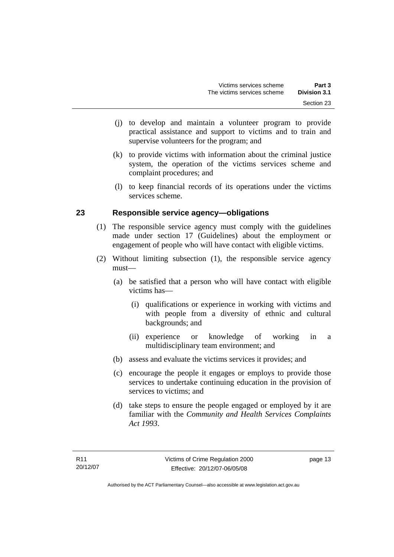- <span id="page-18-0"></span> (j) to develop and maintain a volunteer program to provide practical assistance and support to victims and to train and supervise volunteers for the program; and
- (k) to provide victims with information about the criminal justice system, the operation of the victims services scheme and complaint procedures; and
- (l) to keep financial records of its operations under the victims services scheme.

### **23 Responsible service agency—obligations**

- (1) The responsible service agency must comply with the guidelines made under section 17 (Guidelines) about the employment or engagement of people who will have contact with eligible victims.
- (2) Without limiting subsection (1), the responsible service agency must—
	- (a) be satisfied that a person who will have contact with eligible victims has—
		- (i) qualifications or experience in working with victims and with people from a diversity of ethnic and cultural backgrounds; and
		- (ii) experience or knowledge of working in a multidisciplinary team environment; and
	- (b) assess and evaluate the victims services it provides; and
	- (c) encourage the people it engages or employs to provide those services to undertake continuing education in the provision of services to victims; and
	- (d) take steps to ensure the people engaged or employed by it are familiar with the *Community and Health Services Complaints Act 1993*.

page 13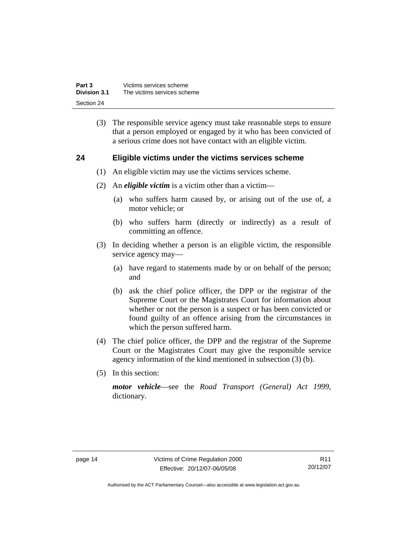<span id="page-19-0"></span>

| Part 3              | Victims services scheme     |
|---------------------|-----------------------------|
| <b>Division 3.1</b> | The victims services scheme |
| Section 24          |                             |

 (3) The responsible service agency must take reasonable steps to ensure that a person employed or engaged by it who has been convicted of a serious crime does not have contact with an eligible victim.

#### **24 Eligible victims under the victims services scheme**

- (1) An eligible victim may use the victims services scheme.
- (2) An *eligible victim* is a victim other than a victim—
	- (a) who suffers harm caused by, or arising out of the use of, a motor vehicle; or
	- (b) who suffers harm (directly or indirectly) as a result of committing an offence.
- (3) In deciding whether a person is an eligible victim, the responsible service agency may—
	- (a) have regard to statements made by or on behalf of the person; and
	- (b) ask the chief police officer, the DPP or the registrar of the Supreme Court or the Magistrates Court for information about whether or not the person is a suspect or has been convicted or found guilty of an offence arising from the circumstances in which the person suffered harm.
- (4) The chief police officer, the DPP and the registrar of the Supreme Court or the Magistrates Court may give the responsible service agency information of the kind mentioned in subsection (3) (b).
- (5) In this section:

*motor vehicle*—see the *Road Transport (General) Act 1999*, dictionary.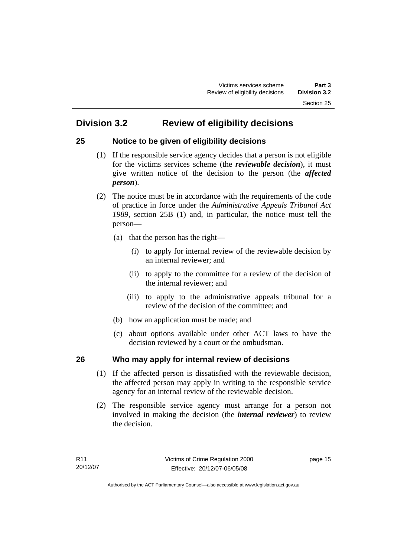# <span id="page-20-0"></span>**Division 3.2 Review of eligibility decisions**

### **25 Notice to be given of eligibility decisions**

- (1) If the responsible service agency decides that a person is not eligible for the victims services scheme (the *reviewable decision*), it must give written notice of the decision to the person (the *affected person*).
- (2) The notice must be in accordance with the requirements of the code of practice in force under the *Administrative Appeals Tribunal Act 1989*, section 25B (1) and, in particular, the notice must tell the person—
	- (a) that the person has the right—
		- (i) to apply for internal review of the reviewable decision by an internal reviewer; and
		- (ii) to apply to the committee for a review of the decision of the internal reviewer; and
		- (iii) to apply to the administrative appeals tribunal for a review of the decision of the committee; and
	- (b) how an application must be made; and
	- (c) about options available under other ACT laws to have the decision reviewed by a court or the ombudsman.

### **26 Who may apply for internal review of decisions**

- (1) If the affected person is dissatisfied with the reviewable decision, the affected person may apply in writing to the responsible service agency for an internal review of the reviewable decision.
- (2) The responsible service agency must arrange for a person not involved in making the decision (the *internal reviewer*) to review the decision.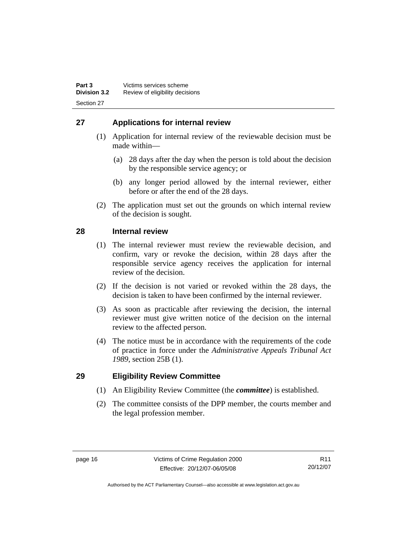### <span id="page-21-0"></span>**27 Applications for internal review**

- (1) Application for internal review of the reviewable decision must be made within—
	- (a) 28 days after the day when the person is told about the decision by the responsible service agency; or
	- (b) any longer period allowed by the internal reviewer, either before or after the end of the 28 days.
- (2) The application must set out the grounds on which internal review of the decision is sought.

### **28 Internal review**

- (1) The internal reviewer must review the reviewable decision, and confirm, vary or revoke the decision, within 28 days after the responsible service agency receives the application for internal review of the decision.
- (2) If the decision is not varied or revoked within the 28 days, the decision is taken to have been confirmed by the internal reviewer.
- (3) As soon as practicable after reviewing the decision, the internal reviewer must give written notice of the decision on the internal review to the affected person.
- (4) The notice must be in accordance with the requirements of the code of practice in force under the *Administrative Appeals Tribunal Act 1989*, section 25B (1).

#### **29 Eligibility Review Committee**

- (1) An Eligibility Review Committee (the *committee*) is established.
- (2) The committee consists of the DPP member, the courts member and the legal profession member.

R11 20/12/07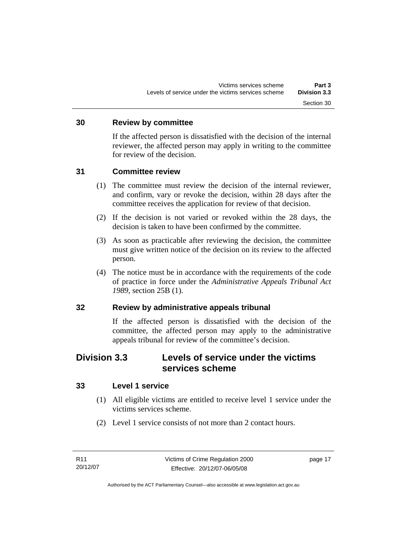#### <span id="page-22-0"></span>**30 Review by committee**

If the affected person is dissatisfied with the decision of the internal reviewer, the affected person may apply in writing to the committee for review of the decision.

#### **31 Committee review**

- (1) The committee must review the decision of the internal reviewer, and confirm, vary or revoke the decision, within 28 days after the committee receives the application for review of that decision.
- (2) If the decision is not varied or revoked within the 28 days, the decision is taken to have been confirmed by the committee.
- (3) As soon as practicable after reviewing the decision, the committee must give written notice of the decision on its review to the affected person.
- (4) The notice must be in accordance with the requirements of the code of practice in force under the *Administrative Appeals Tribunal Act 1989*, section 25B (1).

### **32 Review by administrative appeals tribunal**

If the affected person is dissatisfied with the decision of the committee, the affected person may apply to the administrative appeals tribunal for review of the committee's decision.

### **Division 3.3 Levels of service under the victims services scheme**

#### **33 Level 1 service**

- (1) All eligible victims are entitled to receive level 1 service under the victims services scheme.
- (2) Level 1 service consists of not more than 2 contact hours.

page 17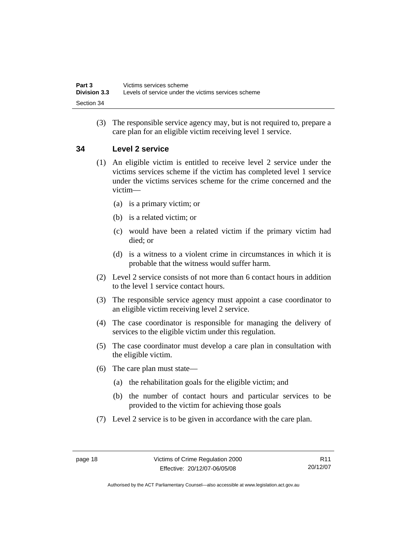<span id="page-23-0"></span> (3) The responsible service agency may, but is not required to, prepare a care plan for an eligible victim receiving level 1 service.

### **34 Level 2 service**

- (1) An eligible victim is entitled to receive level 2 service under the victims services scheme if the victim has completed level 1 service under the victims services scheme for the crime concerned and the victim—
	- (a) is a primary victim; or
	- (b) is a related victim; or
	- (c) would have been a related victim if the primary victim had died; or
	- (d) is a witness to a violent crime in circumstances in which it is probable that the witness would suffer harm.
- (2) Level 2 service consists of not more than 6 contact hours in addition to the level 1 service contact hours.
- (3) The responsible service agency must appoint a case coordinator to an eligible victim receiving level 2 service.
- (4) The case coordinator is responsible for managing the delivery of services to the eligible victim under this regulation.
- (5) The case coordinator must develop a care plan in consultation with the eligible victim.
- (6) The care plan must state—
	- (a) the rehabilitation goals for the eligible victim; and
	- (b) the number of contact hours and particular services to be provided to the victim for achieving those goals
- (7) Level 2 service is to be given in accordance with the care plan.

R11 20/12/07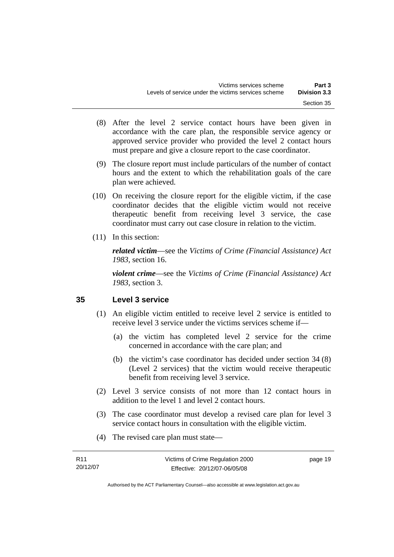- <span id="page-24-0"></span> (8) After the level 2 service contact hours have been given in accordance with the care plan, the responsible service agency or approved service provider who provided the level 2 contact hours must prepare and give a closure report to the case coordinator.
- (9) The closure report must include particulars of the number of contact hours and the extent to which the rehabilitation goals of the care plan were achieved.
- (10) On receiving the closure report for the eligible victim, if the case coordinator decides that the eligible victim would not receive therapeutic benefit from receiving level 3 service, the case coordinator must carry out case closure in relation to the victim.
- (11) In this section:

*related victim*—see the *Victims of Crime (Financial Assistance) Act 1983*, section 16.

*violent crime*—see the *Victims of Crime (Financial Assistance) Act 1983*, section 3.

#### **35 Level 3 service**

- (1) An eligible victim entitled to receive level 2 service is entitled to receive level 3 service under the victims services scheme if—
	- (a) the victim has completed level 2 service for the crime concerned in accordance with the care plan; and
	- (b) the victim's case coordinator has decided under section 34 (8) (Level 2 services) that the victim would receive therapeutic benefit from receiving level 3 service.
- (2) Level 3 service consists of not more than 12 contact hours in addition to the level 1 and level 2 contact hours.
- (3) The case coordinator must develop a revised care plan for level 3 service contact hours in consultation with the eligible victim.
- (4) The revised care plan must state—

| R11      | Victims of Crime Regulation 2000 | page 19 |
|----------|----------------------------------|---------|
| 20/12/07 | Effective: 20/12/07-06/05/08     |         |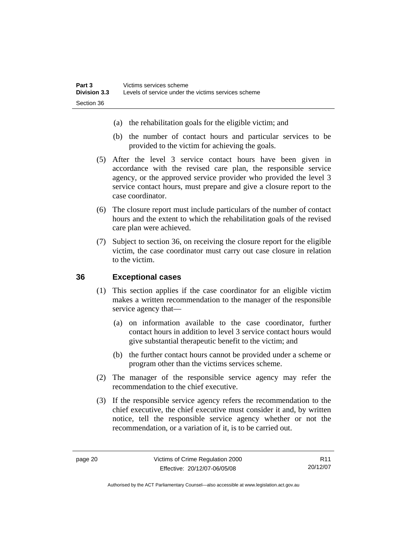- <span id="page-25-0"></span>(a) the rehabilitation goals for the eligible victim; and
- (b) the number of contact hours and particular services to be provided to the victim for achieving the goals.
- (5) After the level 3 service contact hours have been given in accordance with the revised care plan, the responsible service agency, or the approved service provider who provided the level 3 service contact hours, must prepare and give a closure report to the case coordinator.
- (6) The closure report must include particulars of the number of contact hours and the extent to which the rehabilitation goals of the revised care plan were achieved.
- (7) Subject to section 36, on receiving the closure report for the eligible victim, the case coordinator must carry out case closure in relation to the victim.

#### **36 Exceptional cases**

- (1) This section applies if the case coordinator for an eligible victim makes a written recommendation to the manager of the responsible service agency that—
	- (a) on information available to the case coordinator, further contact hours in addition to level 3 service contact hours would give substantial therapeutic benefit to the victim; and
	- (b) the further contact hours cannot be provided under a scheme or program other than the victims services scheme.
- (2) The manager of the responsible service agency may refer the recommendation to the chief executive.
- (3) If the responsible service agency refers the recommendation to the chief executive, the chief executive must consider it and, by written notice, tell the responsible service agency whether or not the recommendation, or a variation of it, is to be carried out.

R11 20/12/07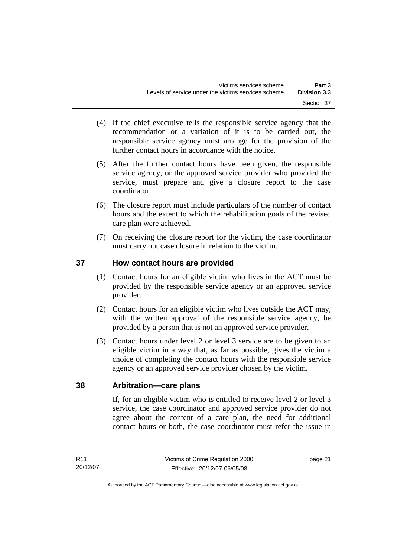- <span id="page-26-0"></span> (4) If the chief executive tells the responsible service agency that the recommendation or a variation of it is to be carried out, the responsible service agency must arrange for the provision of the further contact hours in accordance with the notice.
- (5) After the further contact hours have been given, the responsible service agency, or the approved service provider who provided the service, must prepare and give a closure report to the case coordinator.
- (6) The closure report must include particulars of the number of contact hours and the extent to which the rehabilitation goals of the revised care plan were achieved.
- (7) On receiving the closure report for the victim, the case coordinator must carry out case closure in relation to the victim.

### **37 How contact hours are provided**

- (1) Contact hours for an eligible victim who lives in the ACT must be provided by the responsible service agency or an approved service provider.
- (2) Contact hours for an eligible victim who lives outside the ACT may, with the written approval of the responsible service agency, be provided by a person that is not an approved service provider.
- (3) Contact hours under level 2 or level 3 service are to be given to an eligible victim in a way that, as far as possible, gives the victim a choice of completing the contact hours with the responsible service agency or an approved service provider chosen by the victim.

### **38 Arbitration—care plans**

If, for an eligible victim who is entitled to receive level 2 or level 3 service, the case coordinator and approved service provider do not agree about the content of a care plan, the need for additional contact hours or both, the case coordinator must refer the issue in

page 21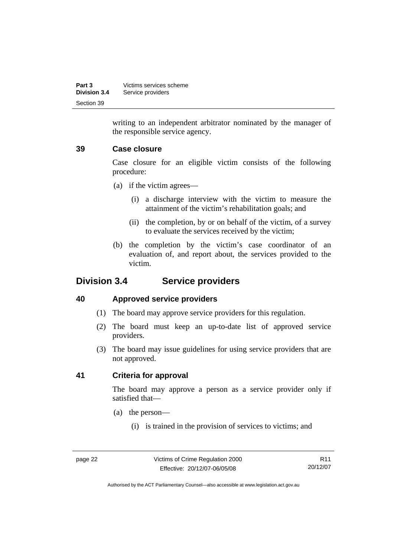<span id="page-27-0"></span>

| Part 3              | Victims services scheme |
|---------------------|-------------------------|
| <b>Division 3.4</b> | Service providers       |
| Section 39          |                         |

writing to an independent arbitrator nominated by the manager of the responsible service agency.

#### **39 Case closure**

Case closure for an eligible victim consists of the following procedure:

- (a) if the victim agrees—
	- (i) a discharge interview with the victim to measure the attainment of the victim's rehabilitation goals; and
	- (ii) the completion, by or on behalf of the victim, of a survey to evaluate the services received by the victim;
- (b) the completion by the victim's case coordinator of an evaluation of, and report about, the services provided to the victim.

### **Division 3.4 Service providers**

#### **40 Approved service providers**

- (1) The board may approve service providers for this regulation.
- (2) The board must keep an up-to-date list of approved service providers.
- (3) The board may issue guidelines for using service providers that are not approved.

#### **41 Criteria for approval**

The board may approve a person as a service provider only if satisfied that—

- (a) the person—
	- (i) is trained in the provision of services to victims; and

page 22 Victims of Crime Regulation 2000 Effective: 20/12/07-06/05/08

R11 20/12/07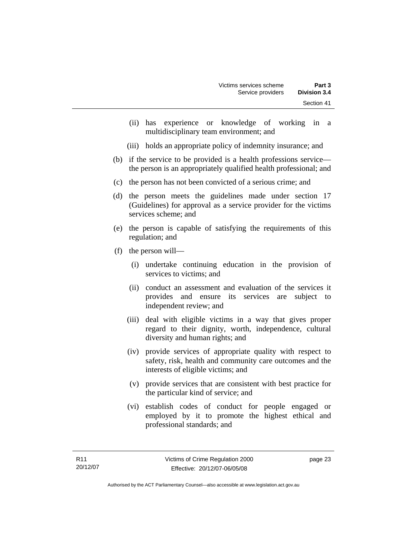- (ii) has experience or knowledge of working in a multidisciplinary team environment; and
- (iii) holds an appropriate policy of indemnity insurance; and
- (b) if the service to be provided is a health professions service the person is an appropriately qualified health professional; and
- (c) the person has not been convicted of a serious crime; and
- (d) the person meets the guidelines made under section 17 (Guidelines) for approval as a service provider for the victims services scheme; and
- (e) the person is capable of satisfying the requirements of this regulation; and
- (f) the person will—
	- (i) undertake continuing education in the provision of services to victims; and
	- (ii) conduct an assessment and evaluation of the services it provides and ensure its services are subject to independent review; and
	- (iii) deal with eligible victims in a way that gives proper regard to their dignity, worth, independence, cultural diversity and human rights; and
	- (iv) provide services of appropriate quality with respect to safety, risk, health and community care outcomes and the interests of eligible victims; and
	- (v) provide services that are consistent with best practice for the particular kind of service; and
	- (vi) establish codes of conduct for people engaged or employed by it to promote the highest ethical and professional standards; and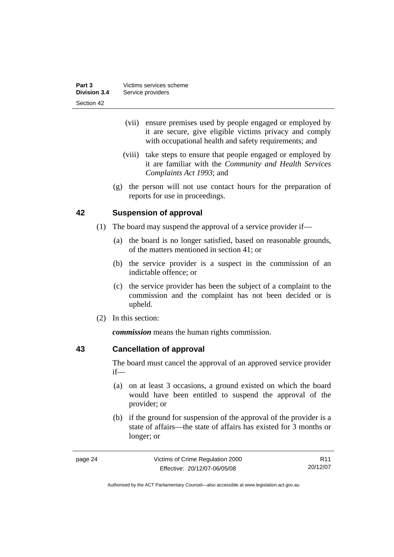<span id="page-29-0"></span>

| Part 3       | Victims services scheme |
|--------------|-------------------------|
| Division 3.4 | Service providers       |
| Section 42   |                         |

- (vii) ensure premises used by people engaged or employed by it are secure, give eligible victims privacy and comply with occupational health and safety requirements; and
- (viii) take steps to ensure that people engaged or employed by it are familiar with the *Community and Health Services Complaints Act 1993*; and
- (g) the person will not use contact hours for the preparation of reports for use in proceedings.

#### **42 Suspension of approval**

- (1) The board may suspend the approval of a service provider if—
	- (a) the board is no longer satisfied, based on reasonable grounds, of the matters mentioned in section 41; or
	- (b) the service provider is a suspect in the commission of an indictable offence; or
	- (c) the service provider has been the subject of a complaint to the commission and the complaint has not been decided or is upheld.
- (2) In this section:

*commission* means the human rights commission.

#### **43 Cancellation of approval**

The board must cancel the approval of an approved service provider if—

- (a) on at least 3 occasions, a ground existed on which the board would have been entitled to suspend the approval of the provider; or
- (b) if the ground for suspension of the approval of the provider is a state of affairs—the state of affairs has existed for 3 months or longer; or

| page 24 | Victims of Crime Regulation 2000 | R11      |
|---------|----------------------------------|----------|
|         | Effective: 20/12/07-06/05/08     | 20/12/07 |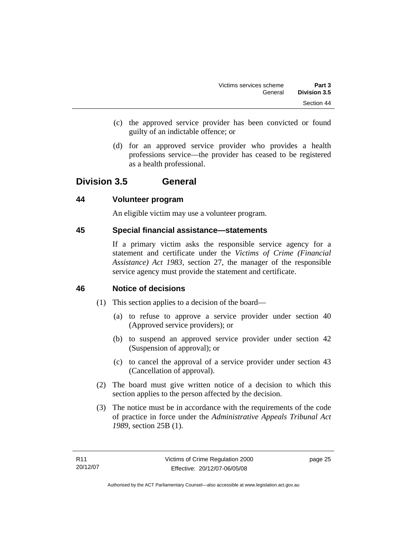- <span id="page-30-0"></span> (c) the approved service provider has been convicted or found guilty of an indictable offence; or
- (d) for an approved service provider who provides a health professions service—the provider has ceased to be registered as a health professional.

### **Division 3.5 General**

### **44 Volunteer program**

An eligible victim may use a volunteer program.

#### **45 Special financial assistance—statements**

If a primary victim asks the responsible service agency for a statement and certificate under the *Victims of Crime (Financial Assistance) Act 1983*, section 27, the manager of the responsible service agency must provide the statement and certificate.

### **46 Notice of decisions**

- (1) This section applies to a decision of the board—
	- (a) to refuse to approve a service provider under section 40 (Approved service providers); or
	- (b) to suspend an approved service provider under section 42 (Suspension of approval); or
	- (c) to cancel the approval of a service provider under section 43 (Cancellation of approval).
- (2) The board must give written notice of a decision to which this section applies to the person affected by the decision.
- (3) The notice must be in accordance with the requirements of the code of practice in force under the *Administrative Appeals Tribunal Act 1989*, section 25B (1).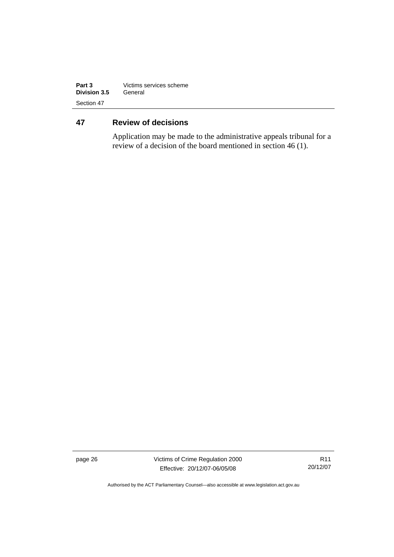<span id="page-31-0"></span>

| Part 3       | Victims services scheme |
|--------------|-------------------------|
| Division 3.5 | General                 |
| Section 47   |                         |

### **47 Review of decisions**

Application may be made to the administrative appeals tribunal for a review of a decision of the board mentioned in section 46 (1).

page 26 Victims of Crime Regulation 2000 Effective: 20/12/07-06/05/08

R11 20/12/07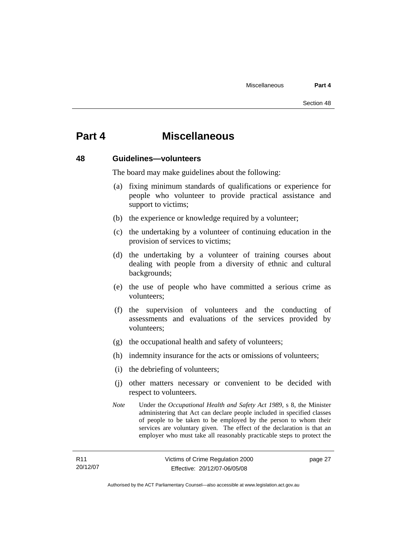# <span id="page-32-0"></span>**Part 4 Miscellaneous**

#### **48 Guidelines—volunteers**

The board may make guidelines about the following:

- (a) fixing minimum standards of qualifications or experience for people who volunteer to provide practical assistance and support to victims;
- (b) the experience or knowledge required by a volunteer;
- (c) the undertaking by a volunteer of continuing education in the provision of services to victims;
- (d) the undertaking by a volunteer of training courses about dealing with people from a diversity of ethnic and cultural backgrounds;
- (e) the use of people who have committed a serious crime as volunteers;
- (f) the supervision of volunteers and the conducting of assessments and evaluations of the services provided by volunteers;
- (g) the occupational health and safety of volunteers;
- (h) indemnity insurance for the acts or omissions of volunteers;
- (i) the debriefing of volunteers;
- (j) other matters necessary or convenient to be decided with respect to volunteers.
- *Note* Under the *Occupational Health and Safety Act 1989*, s 8, the Minister administering that Act can declare people included in specified classes of people to be taken to be employed by the person to whom their services are voluntary given. The effect of the declaration is that an employer who must take all reasonably practicable steps to protect the

page 27

Authorised by the ACT Parliamentary Counsel—also accessible at www.legislation.act.gov.au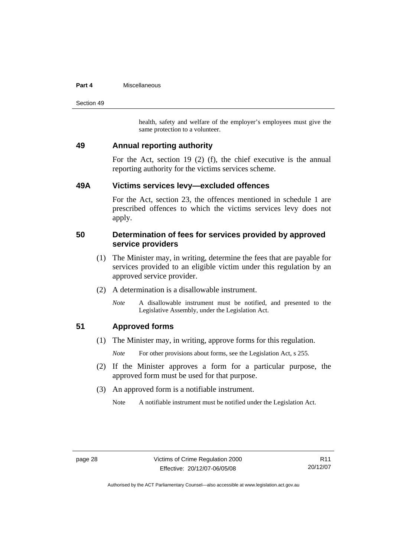#### <span id="page-33-0"></span>**Part 4** Miscellaneous

Section 49

health, safety and welfare of the employer's employees must give the same protection to a volunteer.

#### **49 Annual reporting authority**

For the Act, section 19 (2) (f), the chief executive is the annual reporting authority for the victims services scheme.

#### **49A Victims services levy—excluded offences**

For the Act, section 23, the offences mentioned in schedule 1 are prescribed offences to which the victims services levy does not apply.

#### **50 Determination of fees for services provided by approved service providers**

- (1) The Minister may, in writing, determine the fees that are payable for services provided to an eligible victim under this regulation by an approved service provider.
- (2) A determination is a disallowable instrument.
	- *Note* A disallowable instrument must be notified, and presented to the Legislative Assembly, under the Legislation Act.

#### **51 Approved forms**

(1) The Minister may, in writing, approve forms for this regulation.

*Note* For other provisions about forms, see the Legislation Act, s 255.

- (2) If the Minister approves a form for a particular purpose, the approved form must be used for that purpose.
- (3) An approved form is a notifiable instrument.
	- Note A notifiable instrument must be notified under the Legislation Act.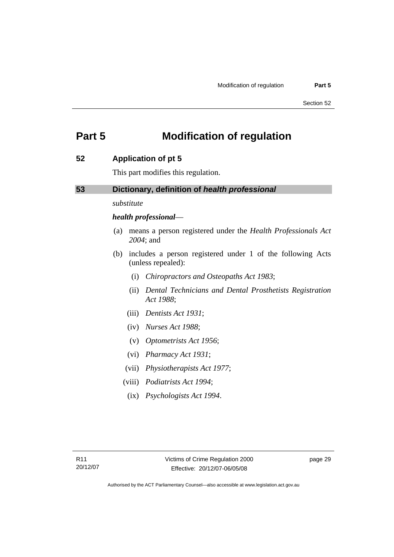# <span id="page-34-0"></span>**Part 5 Modification of regulation**

#### **52 Application of pt 5**

This part modifies this regulation.

### **53 Dictionary, definition of** *health professional*

*substitute* 

#### *health professional*—

- (a) means a person registered under the *Health Professionals Act 2004*; and
- (b) includes a person registered under 1 of the following Acts (unless repealed):
	- (i) *Chiropractors and Osteopaths Act 1983*;
	- (ii) *Dental Technicians and Dental Prosthetists Registration Act 1988*;
	- (iii) *Dentists Act 1931*;
	- (iv) *Nurses Act 1988*;
	- (v) *Optometrists Act 1956*;
	- (vi) *Pharmacy Act 1931*;
	- (vii) *Physiotherapists Act 1977*;
	- (viii) *Podiatrists Act 1994*;
	- (ix) *Psychologists Act 1994*.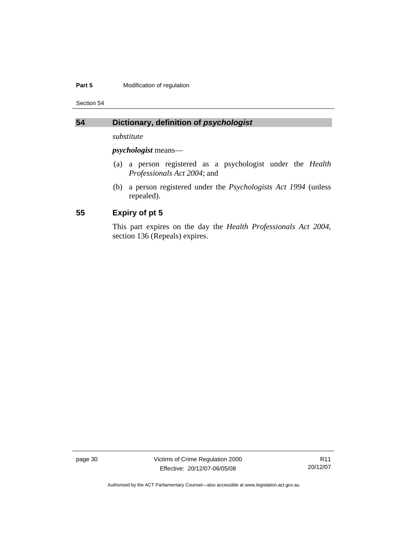#### <span id="page-35-0"></span>**Part 5 Modification of regulation**

Section 54

### **54 Dictionary, definition of** *psychologist*

*substitute* 

*psychologist* means—

- (a) a person registered as a psychologist under the *Health Professionals Act 2004*; and
- (b) a person registered under the *Psychologists Act 1994* (unless repealed).

### **55 Expiry of pt 5**

This part expires on the day the *Health Professionals Act 2004*, section 136 (Repeals) expires.

page 30 Victims of Crime Regulation 2000 Effective: 20/12/07-06/05/08

R11 20/12/07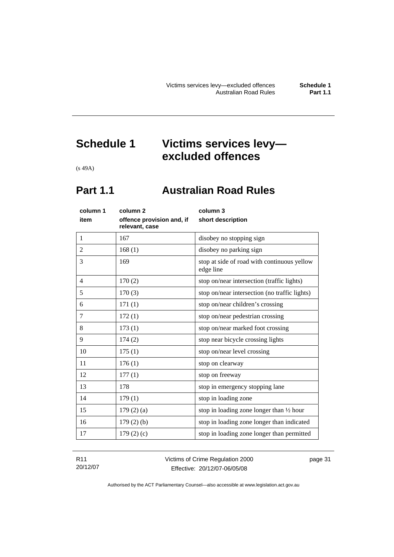# <span id="page-36-0"></span>**Schedule 1 Victims services levy excluded offences**

(s 49A)

# **Part 1.1 Australian Road Rules**

| column 1       | column <sub>2</sub>                         | column 3                                                 |
|----------------|---------------------------------------------|----------------------------------------------------------|
| item           | offence provision and, if<br>relevant, case | short description                                        |
| 1              | 167                                         | disobey no stopping sign                                 |
| 2              | 168(1)                                      | disobey no parking sign                                  |
| 3              | 169                                         | stop at side of road with continuous yellow<br>edge line |
| $\overline{4}$ | 170(2)                                      | stop on/near intersection (traffic lights)               |
| 5              | 170(3)                                      | stop on/near intersection (no traffic lights)            |
| 6              | 171(1)                                      | stop on/near children's crossing                         |
| 7              | 172(1)                                      | stop on/near pedestrian crossing                         |
| 8              | 173(1)                                      | stop on/near marked foot crossing                        |
| 9              | 174(2)                                      | stop near bicycle crossing lights                        |
| 10             | 175(1)                                      | stop on/near level crossing                              |
| 11             | 176(1)                                      | stop on clearway                                         |
| 12             | 177(1)                                      | stop on freeway                                          |
| 13             | 178                                         | stop in emergency stopping lane                          |
| 14             | 179(1)                                      | stop in loading zone                                     |
| 15             | 179(2)(a)                                   | stop in loading zone longer than 1/2 hour                |
| 16             | $179(2)$ (b)                                | stop in loading zone longer than indicated               |
| 17             | 179(2)(c)                                   | stop in loading zone longer than permitted               |

| R11      | Victims of Crime Regulation 2000 | page 31 |
|----------|----------------------------------|---------|
| 20/12/07 | Effective: 20/12/07-06/05/08     |         |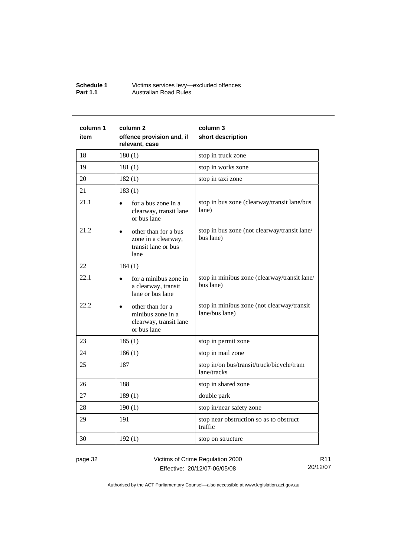| <b>Schedule 1</b> | Victims services levy-excluded offences |
|-------------------|-----------------------------------------|
| <b>Part 1.1</b>   | Australian Road Rules                   |

| column 1 | column 2                                                                       | column 3                                                     |
|----------|--------------------------------------------------------------------------------|--------------------------------------------------------------|
| item     | offence provision and, if<br>relevant, case                                    | short description                                            |
| 18       | 180(1)                                                                         | stop in truck zone                                           |
| 19       | 181(1)                                                                         | stop in works zone                                           |
| 20       | 182(1)                                                                         | stop in taxi zone                                            |
| 21       | 183(1)                                                                         |                                                              |
| 21.1     | for a bus zone in a<br>clearway, transit lane<br>or bus lane                   | stop in bus zone (clearway/transit lane/bus<br>lane)         |
| 21.2     | other than for a bus<br>zone in a clearway,<br>transit lane or bus<br>lane     | stop in bus zone (not clearway/transit lane/<br>bus lane)    |
| 22       | 184(1)                                                                         |                                                              |
| 22.1     | for a minibus zone in<br>a clearway, transit<br>lane or bus lane               | stop in minibus zone (clearway/transit lane/<br>bus lane)    |
| 22.2     | other than for a<br>minibus zone in a<br>clearway, transit lane<br>or bus lane | stop in minibus zone (not clearway/transit<br>lane/bus lane) |
| 23       | 185(1)                                                                         | stop in permit zone                                          |
| 24       | 186(1)                                                                         | stop in mail zone                                            |
| 25       | 187                                                                            | stop in/on bus/transit/truck/bicycle/tram<br>lane/tracks     |
| 26       | 188                                                                            | stop in shared zone                                          |
| 27       | 189(1)                                                                         | double park                                                  |
| 28       | 190(1)                                                                         | stop in/near safety zone                                     |
| 29       | 191                                                                            | stop near obstruction so as to obstruct<br>traffic           |
| 30       | 192(1)                                                                         | stop on structure                                            |

page 32 Victims of Crime Regulation 2000 Effective: 20/12/07-06/05/08

R11 20/12/07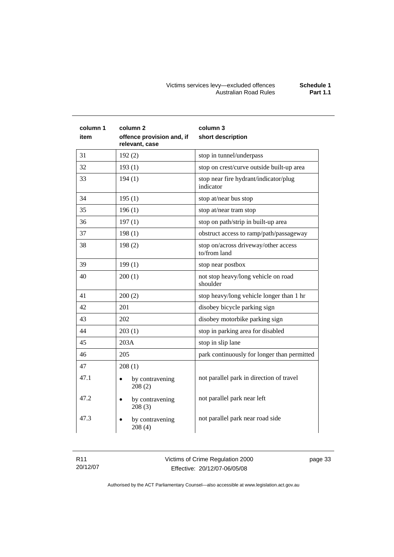#### Victims services levy—excluded offences **Schedule 1**  Australian Road Rules **Part 1.1**

| column 1<br>item | column 2<br>offence provision and, if<br>relevant, case | column 3<br>short description                        |
|------------------|---------------------------------------------------------|------------------------------------------------------|
| 31               | 192(2)                                                  | stop in tunnel/underpass                             |
| 32               | 193(1)                                                  | stop on crest/curve outside built-up area            |
| 33               | 194(1)                                                  | stop near fire hydrant/indicator/plug<br>indicator   |
| 34               | 195(1)                                                  | stop at/near bus stop                                |
| 35               | 196(1)                                                  | stop at/near tram stop                               |
| 36               | 197(1)                                                  | stop on path/strip in built-up area                  |
| 37               | 198(1)                                                  | obstruct access to ramp/path/passageway              |
| 38               | 198(2)                                                  | stop on/across driveway/other access<br>to/from land |
| 39               | 199(1)                                                  | stop near postbox                                    |
| 40               | 200(1)                                                  | not stop heavy/long vehicle on road<br>shoulder      |
| 41               | 200(2)                                                  | stop heavy/long vehicle longer than 1 hr             |
| 42               | 201                                                     | disobey bicycle parking sign                         |
| 43               | 202                                                     | disobey motorbike parking sign                       |
| 44               | 203(1)                                                  | stop in parking area for disabled                    |
| 45               | 203A                                                    | stop in slip lane                                    |
| 46               | 205                                                     | park continuously for longer than permitted          |
| 47               | 208(1)                                                  |                                                      |
| 47.1             | by contravening<br>208(2)                               | not parallel park in direction of travel             |
| 47.2             | by contravening<br>208(3)                               | not parallel park near left                          |
| 47.3             | by contravening<br>208(4)                               | not parallel park near road side                     |

| R11      | Victims of Crime Regulation 2000 | page 33 |
|----------|----------------------------------|---------|
| 20/12/07 | Effective: 20/12/07-06/05/08     |         |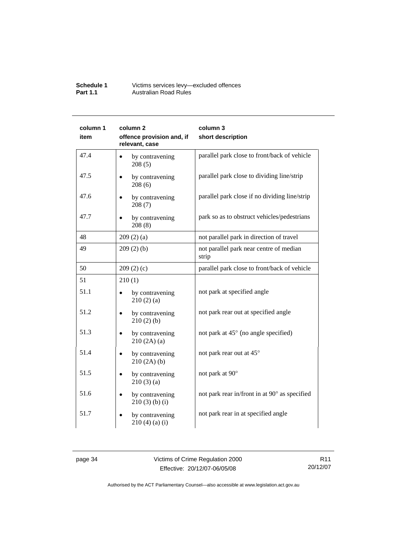| <b>Schedule 1</b> | Victims services levy-excluded offences |
|-------------------|-----------------------------------------|
| <b>Part 1.1</b>   | Australian Road Rules                   |

| column 1<br>item | column 2<br>offence provision and, if<br>relevant, case | column 3<br>short description                    |
|------------------|---------------------------------------------------------|--------------------------------------------------|
| 47.4             | by contravening<br>208(5)                               | parallel park close to front/back of vehicle     |
| 47.5             | by contravening<br>208(6)                               | parallel park close to dividing line/strip       |
| 47.6             | by contravening<br>208(7)                               | parallel park close if no dividing line/strip    |
| 47.7             | by contravening<br>208(8)                               | park so as to obstruct vehicles/pedestrians      |
| 48               | 209(2)(a)                                               | not parallel park in direction of travel         |
| 49               | 209(2)(b)                                               | not parallel park near centre of median<br>strip |
| 50               | 209(2)(c)                                               | parallel park close to front/back of vehicle     |
| 51               | 210(1)                                                  |                                                  |
| 51.1             | by contravening<br>210(2)(a)                            | not park at specified angle                      |
| 51.2             | by contravening<br>$\bullet$<br>210(2)(b)               | not park rear out at specified angle             |
| 51.3             | by contravening<br>210(2A)(a)                           | not park at 45° (no angle specified)             |
| 51.4             | by contravening<br>210(2A)(b)                           | not park rear out at 45°                         |
| 51.5             | by contravening<br>210(3)(a)                            | not park at 90°                                  |
| 51.6             | by contravening<br>$210(3)$ (b) (i)                     | not park rear in/front in at 90° as specified    |
| 51.7             | by contravening<br>210(4)(a)(i)                         | not park rear in at specified angle              |

page 34 Victims of Crime Regulation 2000 Effective: 20/12/07-06/05/08

R11 20/12/07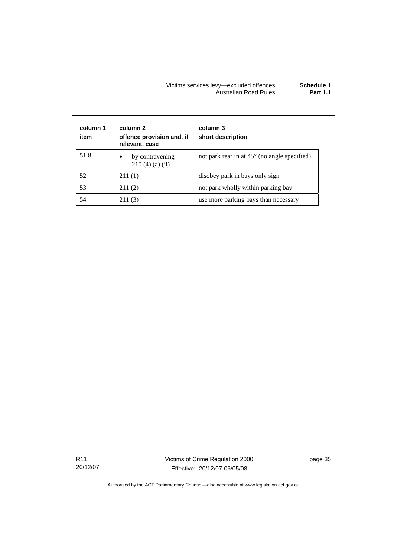#### Victims services levy—excluded offences **Schedule 1**  Australian Road Rules **Part 1.1**

| column 1<br>item | column 2<br>offence provision and, if<br>relevant, case | column 3<br>short description                         |
|------------------|---------------------------------------------------------|-------------------------------------------------------|
| 51.8             | by contravening<br>$\bullet$<br>$210(4)$ (a) (ii)       | not park rear in at $45^{\circ}$ (no angle specified) |
| 52               | 211(1)                                                  | disobey park in bays only sign                        |
| 53               | 211(2)                                                  | not park wholly within parking bay                    |
| 54               | 211(3)                                                  | use more parking bays than necessary                  |

R11 20/12/07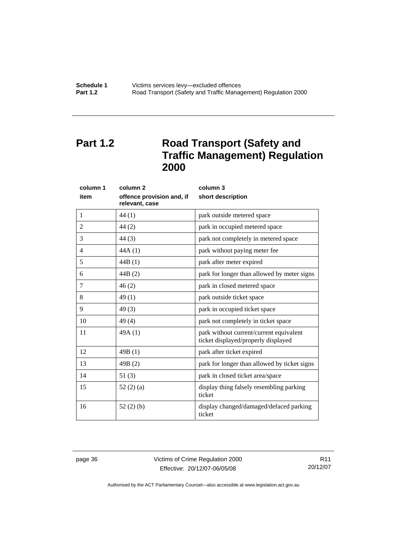<span id="page-41-0"></span>

**Schedule 1** Victims services levy—excluded offences **Part 1.2 Road Transport (Safety and Traffic Management) Regulation 2000** 

# **Part 1.2** Road Transport (Safety and **Traffic Management) Regulation 2000**

| column 1       | column <sub>2</sub>                         | column 3                                                                       |  |
|----------------|---------------------------------------------|--------------------------------------------------------------------------------|--|
| item           | offence provision and, if<br>relevant, case | short description                                                              |  |
| 1              | 44(1)                                       | park outside metered space                                                     |  |
| $\overline{2}$ | 44(2)                                       | park in occupied metered space                                                 |  |
| 3              | 44(3)                                       | park not completely in metered space                                           |  |
| 4              | 44A(1)                                      | park without paying meter fee                                                  |  |
| 5              | 44B(1)                                      | park after meter expired                                                       |  |
| 6              | 44B(2)                                      | park for longer than allowed by meter signs                                    |  |
| $\overline{7}$ | 46(2)                                       | park in closed metered space                                                   |  |
| 8              | 49(1)                                       | park outside ticket space                                                      |  |
| 9              | 49(3)                                       | park in occupied ticket space                                                  |  |
| 10             | 49(4)                                       | park not completely in ticket space                                            |  |
| 11             | 49A(1)                                      | park without current/current equivalent<br>ticket displayed/properly displayed |  |
| 12             | 49B(1)                                      | park after ticket expired                                                      |  |
| 13             | 49B(2)                                      | park for longer than allowed by ticket signs                                   |  |
| 14             | 51(3)                                       | park in closed ticket area/space                                               |  |
| 15             | 52(2)(a)                                    | display thing falsely resembling parking<br>ticket                             |  |
| 16             | 52(2)(b)                                    | display changed/damaged/defaced parking<br>ticket                              |  |

page 36 Victims of Crime Regulation 2000 Effective: 20/12/07-06/05/08

R11 20/12/07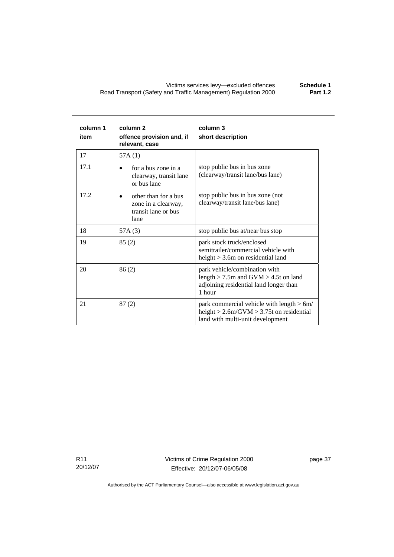| column 1<br>item | column <sub>2</sub><br>offence provision and, if<br>relevant, case         | column 3<br>short description                                                                                                     |
|------------------|----------------------------------------------------------------------------|-----------------------------------------------------------------------------------------------------------------------------------|
| 17               | 57A(1)                                                                     |                                                                                                                                   |
| 17.1             | for a bus zone in a<br>clearway, transit lane<br>or bus lane               | stop public bus in bus zone<br>(clearway/transit lane/bus lane)                                                                   |
| 17.2             | other than for a bus<br>zone in a clearway,<br>transit lane or bus<br>lane | stop public bus in bus zone (not<br>clearway/transit lane/bus lane)                                                               |
| 18               | 57A (3)                                                                    | stop public bus at/near bus stop                                                                                                  |
| 19               | 85(2)                                                                      | park stock truck/enclosed<br>semitrailer/commercial vehicle with<br>height $>$ 3.6m on residential land                           |
| 20               | 86(2)                                                                      | park vehicle/combination with<br>length $>$ 7.5m and GVM $>$ 4.5t on land<br>adjoining residential land longer than<br>1 hour     |
| 21               | 87(2)                                                                      | park commercial vehicle with length $> 6m/$<br>height $> 2.6$ m/GVM $> 3.75$ t on residential<br>land with multi-unit development |

R11 20/12/07 Victims of Crime Regulation 2000 Effective: 20/12/07-06/05/08

page 37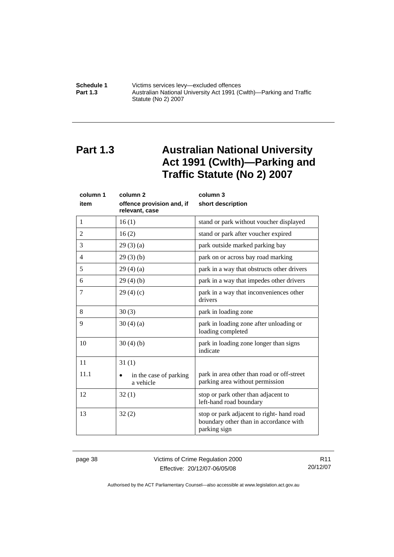<span id="page-43-0"></span>

**Schedule 1** Victims services levy—excluded offences **Part 1.3 Australian National University Act 1991 (Cwlth)—Parking and Traffic** Statute (No 2) 2007

# **Part 1.3 Australian National University Act 1991 (Cwlth)—Parking and Traffic Statute (No 2) 2007**

| column 1 | column <sub>2</sub>                         | column 3                                                                                           |  |
|----------|---------------------------------------------|----------------------------------------------------------------------------------------------------|--|
| item     | offence provision and, if<br>relevant, case | short description                                                                                  |  |
| 1        | 16(1)                                       | stand or park without voucher displayed                                                            |  |
| 2        | 16(2)                                       | stand or park after voucher expired                                                                |  |
| 3        | 29(3)(a)                                    | park outside marked parking bay                                                                    |  |
| 4        | 29(3)(b)                                    | park on or across bay road marking                                                                 |  |
| 5        | 29(4)(a)                                    | park in a way that obstructs other drivers                                                         |  |
| 6        | 29(4)(b)                                    | park in a way that impedes other drivers                                                           |  |
| 7        | 29(4)(c)                                    | park in a way that inconveniences other<br>drivers                                                 |  |
| 8        | 30(3)                                       | park in loading zone                                                                               |  |
| 9        | 30(4)(a)                                    | park in loading zone after unloading or<br>loading completed                                       |  |
| 10       | 30(4)(b)                                    | park in loading zone longer than signs<br>indicate                                                 |  |
| 11       | 31(1)                                       |                                                                                                    |  |
| 11.1     | in the case of parking<br>a vehicle         | park in area other than road or off-street<br>parking area without permission                      |  |
| 12       | 32(1)                                       | stop or park other than adjacent to<br>left-hand road boundary                                     |  |
| 13       | 32(2)                                       | stop or park adjacent to right-hand road<br>boundary other than in accordance with<br>parking sign |  |

page 38 Victims of Crime Regulation 2000 Effective: 20/12/07-06/05/08

R11 20/12/07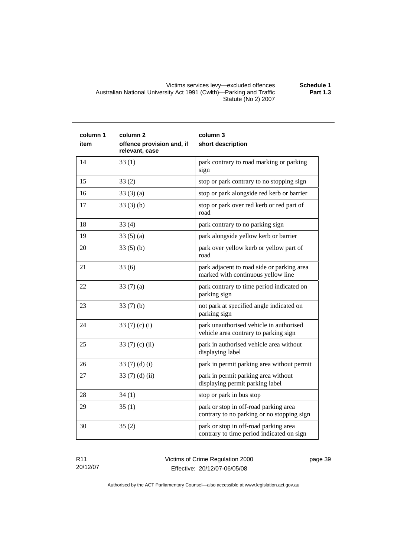#### Victims services levy—excluded offences **Schedule 1**  Australian National University Act 1991 (Cwlth)—Parking and Traffic Statute (No 2) 2007 **Part 1.3**

| column 1<br>item | column <sub>2</sub><br>offence provision and, if<br>relevant, case | column 3<br>short description                                                       |
|------------------|--------------------------------------------------------------------|-------------------------------------------------------------------------------------|
| 14               | 33(1)                                                              | park contrary to road marking or parking<br>sign                                    |
| 15               | 33(2)                                                              | stop or park contrary to no stopping sign                                           |
| 16               | 33(3)(a)                                                           | stop or park alongside red kerb or barrier                                          |
| 17               | 33(3)(b)                                                           | stop or park over red kerb or red part of<br>road                                   |
| 18               | 33(4)                                                              | park contrary to no parking sign                                                    |
| 19               | 33(5)(a)                                                           | park alongside yellow kerb or barrier                                               |
| 20               | 33(5)(b)                                                           | park over yellow kerb or yellow part of<br>road                                     |
| 21               | 33(6)                                                              | park adjacent to road side or parking area<br>marked with continuous yellow line    |
| 22               | 33(7)(a)                                                           | park contrary to time period indicated on<br>parking sign                           |
| 23               | 33(7)(b)                                                           | not park at specified angle indicated on<br>parking sign                            |
| 24               | 33 $(7)(c)(i)$                                                     | park unauthorised vehicle in authorised<br>vehicle area contrary to parking sign    |
| 25               | 33 $(7)$ $(c)$ $(ii)$                                              | park in authorised vehicle area without<br>displaying label                         |
| 26               | 33 $(7)(d)(i)$                                                     | park in permit parking area without permit                                          |
| 27               | 33(7)(d)(ii)                                                       | park in permit parking area without<br>displaying permit parking label              |
| 28               | 34(1)                                                              | stop or park in bus stop                                                            |
| 29               | 35(1)                                                              | park or stop in off-road parking area<br>contrary to no parking or no stopping sign |
| 30               | 35(2)                                                              | park or stop in off-road parking area<br>contrary to time period indicated on sign  |

R11 20/12/07 Victims of Crime Regulation 2000 Effective: 20/12/07-06/05/08

page 39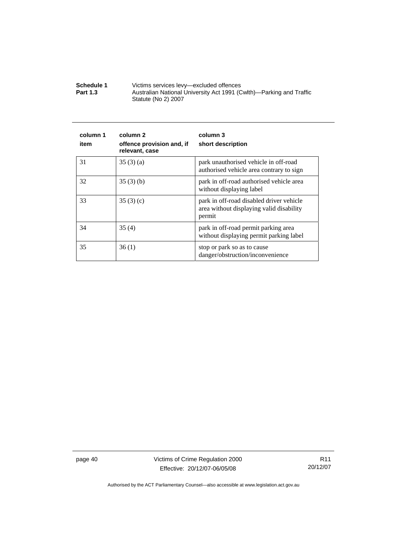**Schedule 1** Victims services levy—excluded offences **Part 1.3 Australian National University Act 1991 (Cwlth)—Parking and Traffic** Statute (No 2) 2007

| column 1<br>item | column 2<br>offence provision and, if<br>relevant, case | column 3<br>short description                                                                  |
|------------------|---------------------------------------------------------|------------------------------------------------------------------------------------------------|
| 31               | 35(3)(a)                                                | park unauthorised vehicle in off-road<br>authorised vehicle area contrary to sign              |
| 32               | 35(3)(b)                                                | park in off-road authorised vehicle area<br>without displaying label                           |
| 33               | 35(3)(c)                                                | park in off-road disabled driver vehicle<br>area without displaying valid disability<br>permit |
| 34               | 35(4)                                                   | park in off-road permit parking area<br>without displaying permit parking label                |
| 35               | 36(1)                                                   | stop or park so as to cause<br>danger/obstruction/inconvenience                                |

page 40 Victims of Crime Regulation 2000 Effective: 20/12/07-06/05/08

R11 20/12/07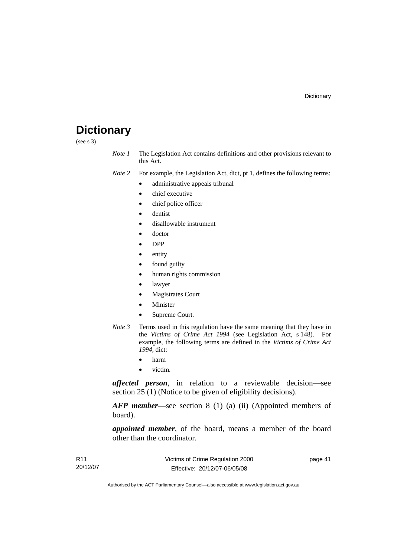# <span id="page-46-0"></span>**Dictionary**

(see s 3)

*Note 1* The Legislation Act contains definitions and other provisions relevant to this Act.

*Note 2* For example, the Legislation Act, dict, pt 1, defines the following terms:

- administrative appeals tribunal
- chief executive
- chief police officer
- dentist
- disallowable instrument
- doctor
- DPP
- entity
- found guilty
- human rights commission
- lawyer
- Magistrates Court
- **Minister**
- Supreme Court.
- *Note 3* Terms used in this regulation have the same meaning that they have in the *Victims of Crime Act 1994* (see Legislation Act, s 148). For example, the following terms are defined in the *Victims of Crime Act 1994*, dict:
	- harm
	- victim.

*affected person*, in relation to a reviewable decision—see section 25 (1) (Notice to be given of eligibility decisions).

*AFP member*—see section 8 (1) (a) (ii) (Appointed members of board).

*appointed member*, of the board, means a member of the board other than the coordinator.

| R <sub>11</sub> | Victims of Crime Regulation 2000 | page 41 |
|-----------------|----------------------------------|---------|
| 20/12/07        | Effective: 20/12/07-06/05/08     |         |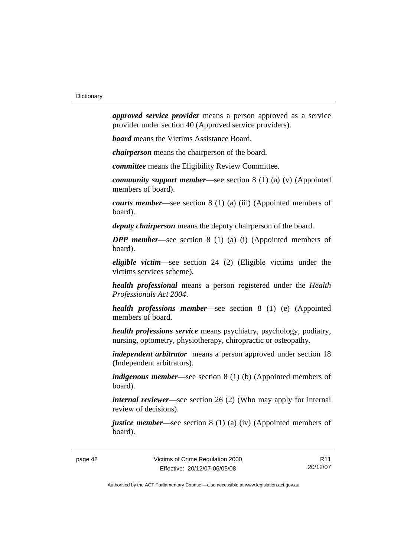*approved service provider* means a person approved as a service provider under section 40 (Approved service providers).

*board* means the Victims Assistance Board.

*chairperson* means the chairperson of the board.

*committee* means the Eligibility Review Committee.

*community support member*—see section 8 (1) (a) (v) (Appointed members of board).

*courts member*—see section 8 (1) (a) (iii) (Appointed members of board).

*deputy chairperson* means the deputy chairperson of the board.

*DPP member*—see section 8 (1) (a) (i) (Appointed members of board).

*eligible victim*—see section 24 (2) (Eligible victims under the victims services scheme).

*health professional* means a person registered under the *Health Professionals Act 2004*.

*health professions member*—see section 8 (1) (e) (Appointed members of board.

*health professions service* means psychiatry, psychology, podiatry, nursing, optometry, physiotherapy, chiropractic or osteopathy.

*independent arbitrator* means a person approved under section 18 (Independent arbitrators).

*indigenous member*—see section 8 (1) (b) (Appointed members of board).

*internal reviewer*—see section 26 (2) (Who may apply for internal review of decisions).

*justice member*—see section 8 (1) (a) (iv) (Appointed members of board).

R11 20/12/07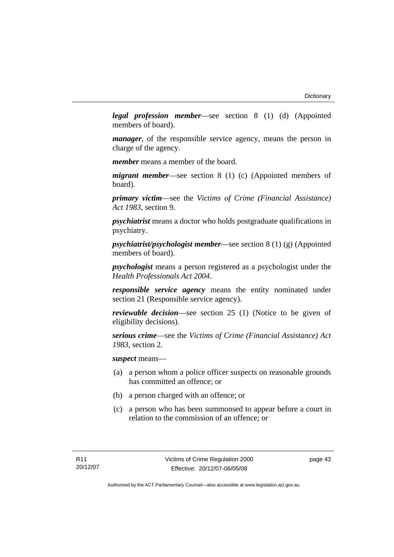*legal profession member*—see section 8 (1) (d) (Appointed members of board).

*manager*, of the responsible service agency, means the person in charge of the agency.

*member* means a member of the board.

*migrant member*—see section 8 (1) (c) (Appointed members of board).

*primary victim*—see the *Victims of Crime (Financial Assistance) Act 1983*, section 9.

*psychiatrist* means a doctor who holds postgraduate qualifications in psychiatry.

*psychiatrist/psychologist member*—see section 8 (1) (g) (Appointed members of board).

*psychologist* means a person registered as a psychologist under the *Health Professionals Act 2004*.

*responsible service agency* means the entity nominated under section 21 (Responsible service agency).

*reviewable decision*—see section 25 (1) (Notice to be given of eligibility decisions).

*serious crime*—see the *Victims of Crime (Financial Assistance) Act 1983*, section 2.

*suspect* means—

- (a) a person whom a police officer suspects on reasonable grounds has committed an offence; or
- (b) a person charged with an offence; or
- (c) a person who has been summonsed to appear before a court in relation to the commission of an offence; or

page 43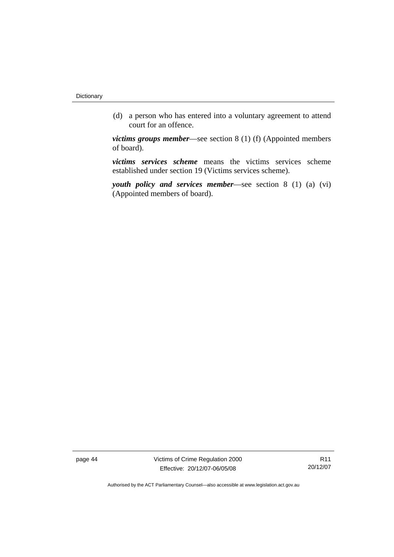(d) a person who has entered into a voluntary agreement to attend court for an offence.

*victims groups member*—see section 8 (1) (f) (Appointed members of board).

*victims services scheme* means the victims services scheme established under section 19 (Victims services scheme).

*youth policy and services member*—see section 8 (1) (a) (vi) (Appointed members of board).

page 44 Victims of Crime Regulation 2000 Effective: 20/12/07-06/05/08

R11 20/12/07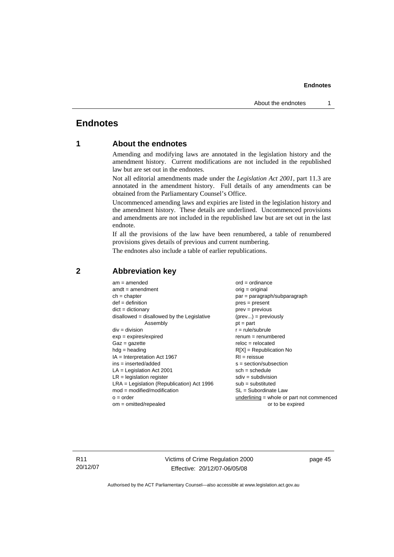### <span id="page-50-0"></span>**Endnotes**

### **1 About the endnotes**

Amending and modifying laws are annotated in the legislation history and the amendment history. Current modifications are not included in the republished law but are set out in the endnotes.

Not all editorial amendments made under the *Legislation Act 2001*, part 11.3 are annotated in the amendment history. Full details of any amendments can be obtained from the Parliamentary Counsel's Office.

Uncommenced amending laws and expiries are listed in the legislation history and the amendment history. These details are underlined. Uncommenced provisions and amendments are not included in the republished law but are set out in the last endnote.

If all the provisions of the law have been renumbered, a table of renumbered provisions gives details of previous and current numbering.

The endnotes also include a table of earlier republications.

| $am = amended$                               | $ord = ordinance$                         |
|----------------------------------------------|-------------------------------------------|
| $amdt = amendment$                           | $orig = original$                         |
| $ch = chapter$                               | $par = paragraph/subparagraph$            |
| $def = definition$                           | $pres = present$                          |
| $dict = dictionary$                          | $prev = previous$                         |
| $disallowed = disallowed by the Legislative$ | $(\text{prev}) = \text{previously}$       |
| Assembly                                     | $pt = part$                               |
| $div = division$                             | $r = rule/subrule$                        |
| $exp = expires/expired$                      | $renum = renumbered$                      |
| $Gaz = gazette$                              | $reloc = relocated$                       |
| $hdg =$ heading                              | $R[X]$ = Republication No                 |
| $IA = Interpretation Act 1967$               | $RI = reissue$                            |
| $ins = inserted/added$                       | $s = section/subsection$                  |
| $LA =$ Legislation Act 2001                  | $sch = schedule$                          |
| $LR =$ legislation register                  | $sdiv = subdivision$                      |
| $LRA =$ Legislation (Republication) Act 1996 | $sub =$ substituted                       |
| $mod = modified/modification$                | SL = Subordinate Law                      |
| $o = order$                                  | underlining = whole or part not commenced |
| $om = omitted/repealed$                      | or to be expired                          |
|                                              |                                           |

#### **2 Abbreviation key**

R11 20/12/07 Victims of Crime Regulation 2000 Effective: 20/12/07-06/05/08

page 45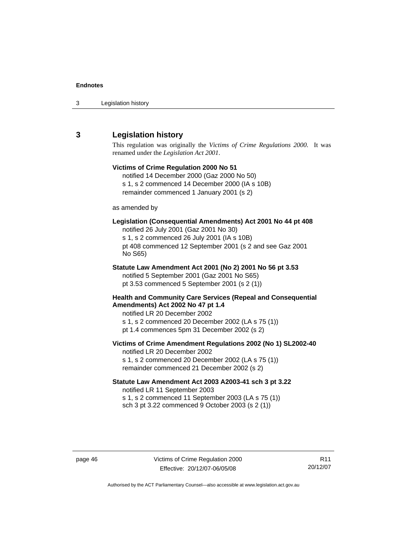<span id="page-51-0"></span>

| 3 | Legislation history |  |
|---|---------------------|--|
|---|---------------------|--|

#### **3 Legislation history**

This regulation was originally the *Victims of Crime Regulations 2000*. It was renamed under the *Legislation Act 2001*.

### **Victims of Crime Regulation 2000 No 51**  notified 14 December 2000 (Gaz 2000 No 50) s 1, s 2 commenced 14 December 2000 (IA s 10B) remainder commenced 1 January 2001 (s 2) as amended by **Legislation (Consequential Amendments) Act 2001 No 44 pt 408**  notified 26 July 2001 (Gaz 2001 No 30) s 1, s 2 commenced 26 July 2001 (IA s 10B) pt 408 commenced 12 September 2001 (s 2 and see Gaz 2001 No S65) **Statute Law Amendment Act 2001 (No 2) 2001 No 56 pt 3.53**  notified 5 September 2001 (Gaz 2001 No S65) pt 3.53 commenced 5 September 2001 (s 2 (1)) **Health and Community Care Services (Repeal and Consequential Amendments) Act 2002 No 47 pt 1.4**  notified LR 20 December 2002 s 1, s 2 commenced 20 December 2002 (LA s 75 (1)) pt 1.4 commences 5pm 31 December 2002 (s 2) **Victims of Crime Amendment Regulations 2002 (No 1) SL2002-40**  notified LR 20 December 2002 s 1, s 2 commenced 20 December 2002 (LA s 75 (1)) remainder commenced 21 December 2002 (s 2) **Statute Law Amendment Act 2003 A2003-41 sch 3 pt 3.22**

notified LR 11 September 2003 s 1, s 2 commenced 11 September 2003 (LA s 75 (1)) sch 3 pt 3.22 commenced 9 October 2003 (s 2 (1))

R11 20/12/07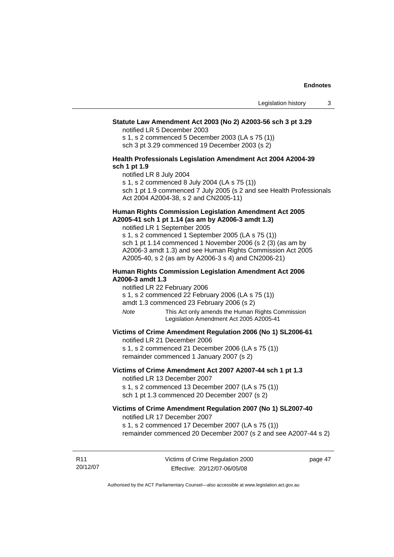#### **Statute Law Amendment Act 2003 (No 2) A2003-56 sch 3 pt 3.29**

notified LR 5 December 2003

s 1, s 2 commenced 5 December 2003 (LA s 75 (1)) sch 3 pt 3.29 commenced 19 December 2003 (s 2)

#### **Health Professionals Legislation Amendment Act 2004 A2004-39 sch 1 pt 1.9**

notified LR 8 July 2004

s 1, s 2 commenced 8 July 2004 (LA s 75 (1))

sch 1 pt 1.9 commenced 7 July 2005 (s 2 and see Health Professionals Act 2004 A2004-38, s 2 and CN2005-11)

#### **Human Rights Commission Legislation Amendment Act 2005 A2005-41 sch 1 pt 1.14 (as am by A2006-3 amdt 1.3)**

notified LR 1 September 2005 s 1, s 2 commenced 1 September 2005 (LA s 75 (1)) sch 1 pt 1.14 commenced 1 November 2006 (s 2 (3) (as am by A2006-3 amdt 1.3) and see Human Rights Commission Act 2005 A2005-40, s 2 (as am by A2006-3 s 4) and CN2006-21)

#### **Human Rights Commission Legislation Amendment Act 2006 A2006-3 amdt 1.3**

notified LR 22 February 2006

s 1, s 2 commenced 22 February 2006 (LA s 75 (1))

amdt 1.3 commenced 23 February 2006 (s 2)

*Note* This Act only amends the Human Rights Commission Legislation Amendment Act 2005 A2005-41

#### **Victims of Crime Amendment Regulation 2006 (No 1) SL2006-61**

notified LR 21 December 2006

s 1, s 2 commenced 21 December 2006 (LA s 75 (1)) remainder commenced 1 January 2007 (s 2)

#### **Victims of Crime Amendment Act 2007 A2007-44 sch 1 pt 1.3**  notified LR 13 December 2007

s 1, s 2 commenced 13 December 2007 (LA s 75 (1)) sch 1 pt 1.3 commenced 20 December 2007 (s 2)

#### **Victims of Crime Amendment Regulation 2007 (No 1) SL2007-40**  notified LR 17 December 2007

s 1, s 2 commenced 17 December 2007 (LA s 75 (1)) remainder commenced 20 December 2007 (s 2 and see A2007-44 s 2)

R11 20/12/07 Victims of Crime Regulation 2000 Effective: 20/12/07-06/05/08

page 47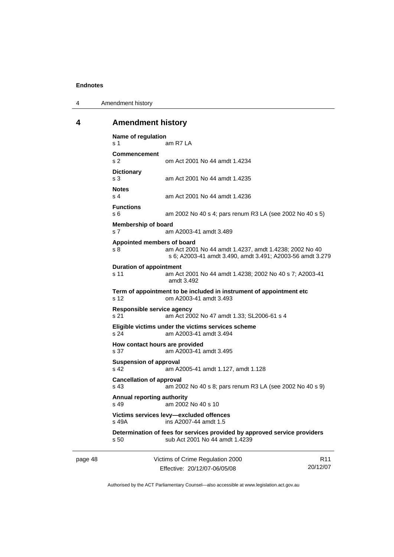<span id="page-53-0"></span>4 Amendment history

#### **4 Amendment history**

**Name of regulation**  s 1 am R7 LA **Commencement**  s 2 om Act 2001 No 44 amdt 1.4234 **Dictionary**  s 3 am Act 2001 No 44 amdt 1.4235 **Notes**  s 4 am Act 2001 No 44 amdt 1.4236 **Functions**  s 6 am 2002 No 40 s 4; pars renum R3 LA (see 2002 No 40 s 5) **Membership of board**  s 7 am A2003-41 amdt 3.489 **Appointed members of board**  s 8 am Act 2001 No 44 amdt 1.4237, amdt 1.4238; 2002 No 40 s 6; A2003-41 amdt 3.490, amdt 3.491; A2003-56 amdt 3.279 **Duration of appointment**  s 11 am Act 2001 No 44 amdt 1.4238; 2002 No 40 s 7; A2003-41 amdt 3.492 **Term of appointment to be included in instrument of appointment etc**  s 12 om A2003-41 amdt 3.493 **Responsible service agency**  s 21 am Act 2002 No 47 amdt 1.33; SL2006-61 s 4 **Eligible victims under the victims services scheme**  s 24 am A2003-41 amdt 3.494 **How contact hours are provided**  s 37 am A2003-41 amdt 3.495 **Suspension of approval**  s 42 am A2005-41 amdt 1.127, amdt 1.128 **Cancellation of approval**  s 43 am 2002 No 40 s 8; pars renum R3 LA (see 2002 No 40 s 9) **Annual reporting authority**  s 49 am 2002 No 40 s 10 **Victims services levy—excluded offences**  s 49A ins A2007-44 amdt 1.5 **Determination of fees for services provided by approved service providers**  s 50 sub Act 2001 No 44 amdt 1.4239

page 48 Victims of Crime Regulation 2000 Effective: 20/12/07-06/05/08

R11 20/12/07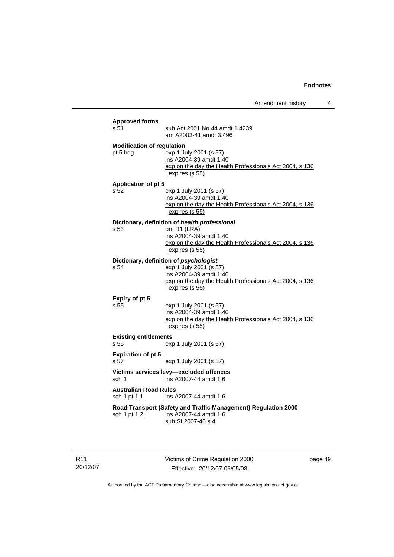| <b>Approved forms</b>             |                                                                                                                               |
|-----------------------------------|-------------------------------------------------------------------------------------------------------------------------------|
| s 51                              | sub Act 2001 No 44 amdt 1.4239<br>am A2003-41 amdt 3.496                                                                      |
| <b>Modification of regulation</b> |                                                                                                                               |
| pt 5 hdg                          | exp 1 July 2001 (s 57)<br>ins A2004-39 amdt 1.40<br>exp on the day the Health Professionals Act 2004, s 136<br>expires (s 55) |
| <b>Application of pt 5</b>        |                                                                                                                               |
| s 52                              | exp 1 July 2001 (s 57)<br>ins A2004-39 amdt 1.40<br>exp on the day the Health Professionals Act 2004, s 136<br>expires (s 55) |
|                                   | Dictionary, definition of health professional                                                                                 |
| s 53                              | om R1 (LRA)<br>ins A2004-39 amdt 1.40<br>exp on the day the Health Professionals Act 2004, s 136<br>expires (s 55)            |
|                                   | Dictionary, definition of psychologist                                                                                        |
| s 54                              | exp 1 July 2001 (s 57)<br>ins A2004-39 amdt 1.40<br>exp on the day the Health Professionals Act 2004, s 136<br>expires (s 55) |
| Expiry of pt 5                    |                                                                                                                               |
| s.55                              | exp 1 July 2001 (s 57)<br>ins A2004-39 amdt 1.40<br>exp on the day the Health Professionals Act 2004, s 136<br>expires (s 55) |
| <b>Existing entitlements</b>      |                                                                                                                               |
| s 56                              | exp 1 July 2001 (s 57)                                                                                                        |
| <b>Expiration of pt 5</b><br>s 57 | exp 1 July 2001 (s 57)                                                                                                        |
| sch 1                             | Victims services levy-excluded offences<br>ins A2007-44 amdt 1.6                                                              |
| <b>Australian Road Rules</b>      | ins A2007-44 amdt 1.6                                                                                                         |
| sch 1 pt 1.1                      |                                                                                                                               |
| sch 1 pt 1.2                      | Road Transport (Safety and Traffic Management) Regulation 2000<br>ins A2007-44 amdt 1.6<br>sub SL2007-40 s 4                  |

R11 20/12/07 Victims of Crime Regulation 2000 Effective: 20/12/07-06/05/08

page 49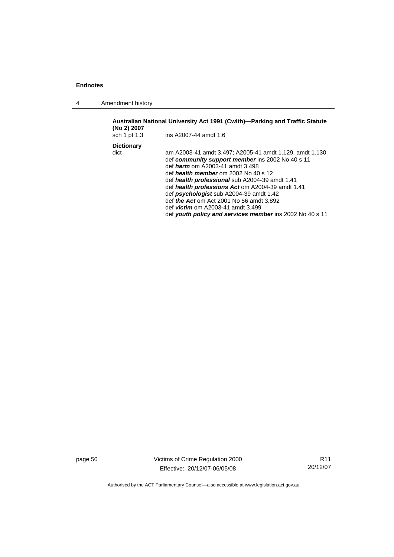4 Amendment history

| (No 2) 2007               | Australian National University Act 1991 (Cwlth)—Parking and Traffic Statute                                                                                                                                                                                                                                                                                                                                                                                                                               |
|---------------------------|-----------------------------------------------------------------------------------------------------------------------------------------------------------------------------------------------------------------------------------------------------------------------------------------------------------------------------------------------------------------------------------------------------------------------------------------------------------------------------------------------------------|
| sch 1 pt 1.3              | ins A2007-44 amdt 1.6                                                                                                                                                                                                                                                                                                                                                                                                                                                                                     |
| <b>Dictionary</b><br>dict | am A2003-41 amdt 3.497; A2005-41 amdt 1.129, amdt 1.130<br>def community support member ins 2002 No 40 s 11<br>def <i>harm</i> om A2003-41 amdt 3.498<br>def health member om 2002 No 40 s 12<br>def health professional sub A2004-39 amdt 1.41<br>def health professions Act om A2004-39 amdt 1.41<br>def psychologist sub A2004-39 amdt 1.42<br>def <i>the Act</i> om Act 2001 No 56 amdt 3.892<br>def <i>victim</i> om A2003-41 amdt 3.499<br>def youth policy and services member ins 2002 No 40 s 11 |

page 50 Victims of Crime Regulation 2000 Effective: 20/12/07-06/05/08

R11 20/12/07